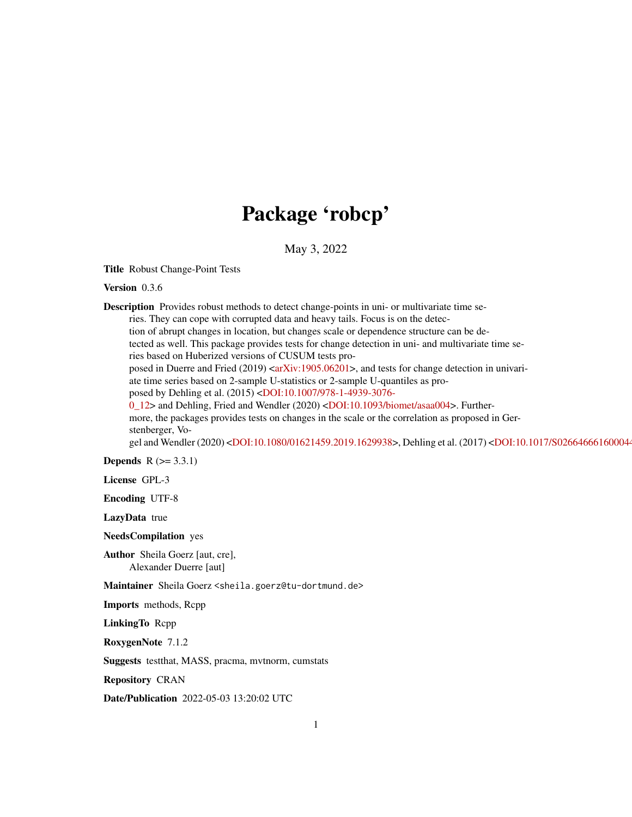# Package 'robcp'

May 3, 2022

<span id="page-0-0"></span>Title Robust Change-Point Tests

Version 0.3.6

Description Provides robust methods to detect change-points in uni- or multivariate time series. They can cope with corrupted data and heavy tails. Focus is on the detection of abrupt changes in location, but changes scale or dependence structure can be detected as well. This package provides tests for change detection in uni- and multivariate time series based on Huberized versions of CUSUM tests pro-posed in Duerre and Fried (2019) [<arXiv:1905.06201>](https://arxiv.org/abs/1905.06201), and tests for change detection in univariate time series based on 2-sample U-statistics or 2-sample U-quantiles as proposed by Dehling et al. (2015) [<DOI:10.1007/978-1-4939-3076-](https://doi.org/10.1007/978-1-4939-3076-0_12) [0\\_12>](https://doi.org/10.1007/978-1-4939-3076-0_12) and Dehling, Fried and Wendler (2020) [<DOI:10.1093/biomet/asaa004>](https://doi.org/10.1093/biomet/asaa004). Furthermore, the packages provides tests on changes in the scale or the correlation as proposed in Gerstenberger, Vo-gel and Wendler (2020) [<DOI:10.1080/01621459.2019.1629938>](https://doi.org/10.1080/01621459.2019.1629938), Dehling et al. (2017) <DOI:10.1017/S02664666160004 **Depends**  $R (= 3.3.1)$ License GPL-3 Encoding UTF-8 LazyData true NeedsCompilation yes Author Sheila Goerz [aut, cre],

Alexander Duerre [aut]

Maintainer Sheila Goerz <sheila.goerz@tu-dortmund.de>

Imports methods, Rcpp

LinkingTo Rcpp

RoxygenNote 7.1.2

Suggests testthat, MASS, pracma, mvtnorm, cumstats

Repository CRAN

Date/Publication 2022-05-03 13:20:02 UTC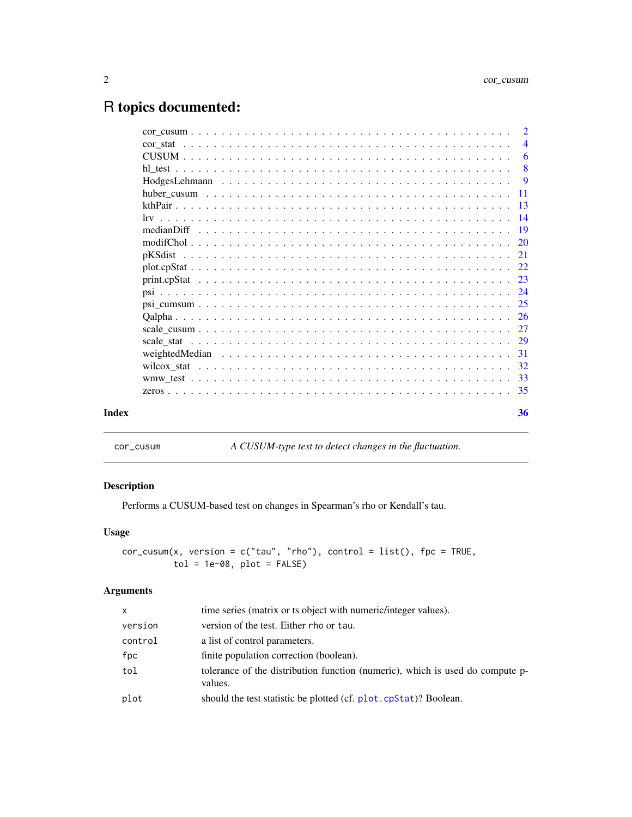## <span id="page-1-0"></span>R topics documented:

|       | $\overline{2}$ |
|-------|----------------|
|       | $\overline{4}$ |
|       | - 6            |
|       | -8             |
|       | $\overline{9}$ |
|       |                |
|       |                |
|       |                |
|       | -19            |
|       |                |
|       | 21             |
|       |                |
|       |                |
|       |                |
|       |                |
|       | -26            |
|       |                |
|       |                |
|       |                |
|       |                |
|       |                |
|       |                |
| Index | 36             |

<span id="page-1-1"></span>cor\_cusum *A CUSUM-type test to detect changes in the fluctuation.*

## Description

Performs a CUSUM-based test on changes in Spearman's rho or Kendall's tau.

#### Usage

```
cor_cusum(x, version = c("tau", "rho"), control = list(), fpc = TRUE,\begin{bmatrix} 1 & 1 \\ 1 & 0 \end{bmatrix} = 1e-08, plot = FALSE)
```
#### Arguments

| X       | time series (matrix or ts object with numeric/integer values).                           |
|---------|------------------------------------------------------------------------------------------|
| version | version of the test. Either rho or tau.                                                  |
| control | a list of control parameters.                                                            |
| fpc     | finite population correction (boolean).                                                  |
| tol     | tolerance of the distribution function (numeric), which is used do compute p-<br>values. |
| plot    | should the test statistic be plotted (cf. plot. cpStat)? Boolean.                        |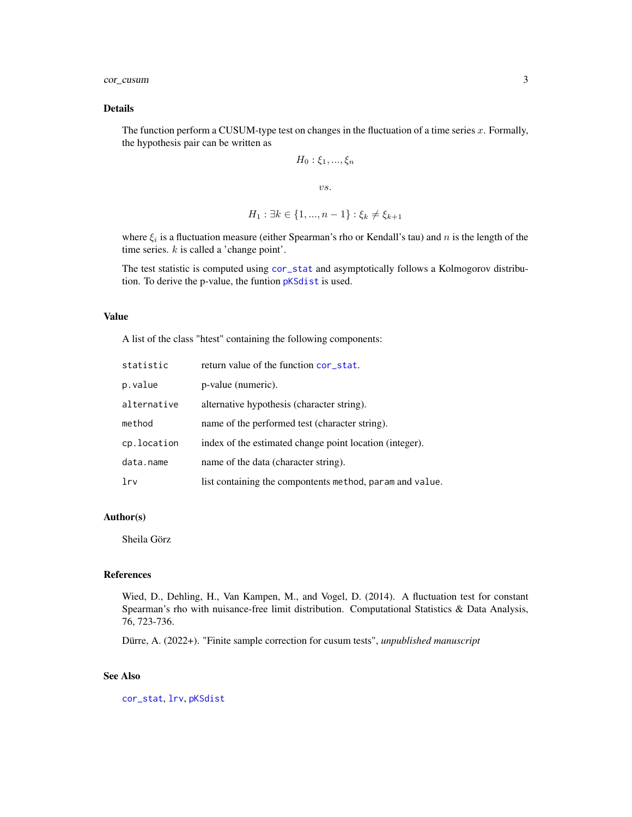<span id="page-2-0"></span>cor\_cusum 3

#### Details

The function perform a CUSUM-type test on changes in the fluctuation of a time series  $x$ . Formally, the hypothesis pair can be written as

$$
H_0: \xi_1, \ldots, \xi_n
$$

vs.

$$
H_1: \exists k \in \{1, ..., n-1\} : \xi_k \neq \xi_{k+1}
$$

where  $\xi_i$  is a fluctuation measure (either Spearman's rho or Kendall's tau) and n is the length of the time series.  $k$  is called a 'change point'.

The test statistic is computed using [cor\\_stat](#page-3-1) and asymptotically follows a Kolmogorov distribution. To derive the p-value, the funtion [pKSdist](#page-20-1) is used.

#### Value

A list of the class "htest" containing the following components:

| statistic       | return value of the function cor_stat.                   |
|-----------------|----------------------------------------------------------|
| p.value         | p-value (numeric).                                       |
| alternative     | alternative hypothesis (character string).               |
| method          | name of the performed test (character string).           |
| cp.location     | index of the estimated change point location (integer).  |
| data.name       | name of the data (character string).                     |
| 1 <sub>rv</sub> | list containing the compontents method, param and value. |

#### Author(s)

Sheila Görz

#### References

Wied, D., Dehling, H., Van Kampen, M., and Vogel, D. (2014). A fluctuation test for constant Spearman's rho with nuisance-free limit distribution. Computational Statistics & Data Analysis, 76, 723-736.

Dürre, A. (2022+). "Finite sample correction for cusum tests", *unpublished manuscript*

#### See Also

[cor\\_stat](#page-3-1), [lrv](#page-13-1), [pKSdist](#page-20-1)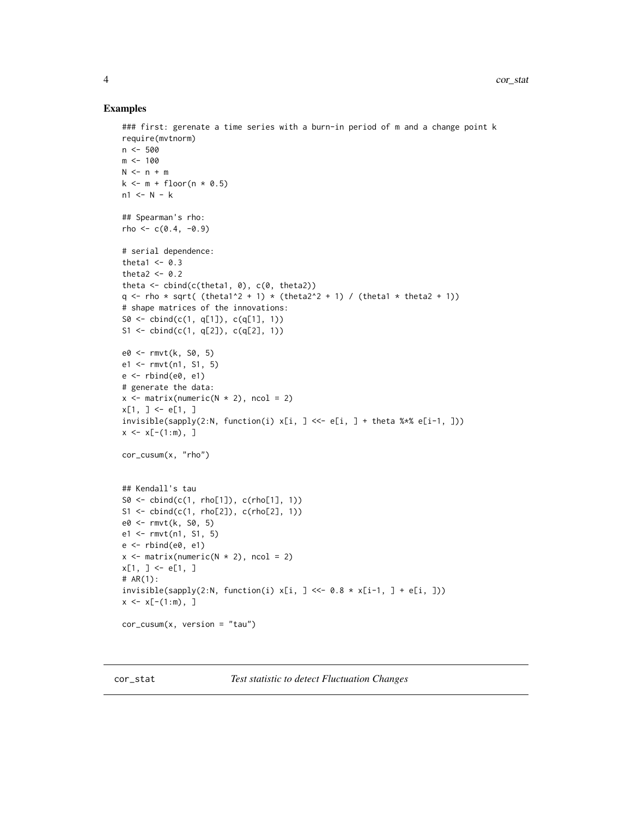#### Examples

```
### first: gerenate a time series with a burn-in period of m and a change point k
require(mvtnorm)
n <- 500
m < - 100N \le -n + mk \le m + \text{floor}(n \times 0.5)n1 \leq N - k## Spearman's rho:
rho < -c(0.4, -0.9)# serial dependence:
theta1 <-0.3theta2 <-0.2theta \le cbind(c(theta1, 0), c(0, theta2))
q <- rho * sqrt( (theta1^2 + 1) * (theta2^2 + 1) / (theta1 * theta2 + 1))
# shape matrices of the innovations:
S0 <- cbind(c(1, q[1]), c(q[1], 1))
S1 <- cbind(c(1, q[2]), c(q[2], 1))
e0 <- rmvt(k, S0, 5)
e1 <- rmvt(n1, S1, 5)
e \leftarrow rbind(e\emptyset, e1)
# generate the data:
x \le matrix(numeric(N * 2), ncol = 2)
x[1, ] \leftarrow e[1, ]invisible(sapply(2:N, function(i) x[i, ] \leq - e[i, ] + theta \leq x \leq e[i-1, ]))x \leq x[-(1:m), ]cor_cusum(x, "rho")
## Kendall's tau
S0 \leq - \text{cbind}(c(1, \text{rho}[1]), \text{c}(\text{rho}[1], 1))S1 \leq bind(c(1, rho[2]), c(rho[2], 1))e0 <- rmvt(k, S0, 5)
e1 <- rmvt(n1, S1, 5)
e <- rbind(e0, e1)
x \le matrix(numeric(N * 2), ncol = 2)
x[1, ] \leftarrow e[1, ]# AR(1):
invisible(sapply(2:N, function(i) x[i, ] \ll -0.8 * x[i-1, ] + e[i, ]))x \leq x[-(1:m), ]cor_cusum(x, version = "tau")
```
<span id="page-3-1"></span>cor\_stat *Test statistic to detect Fluctuation Changes*

<span id="page-3-0"></span>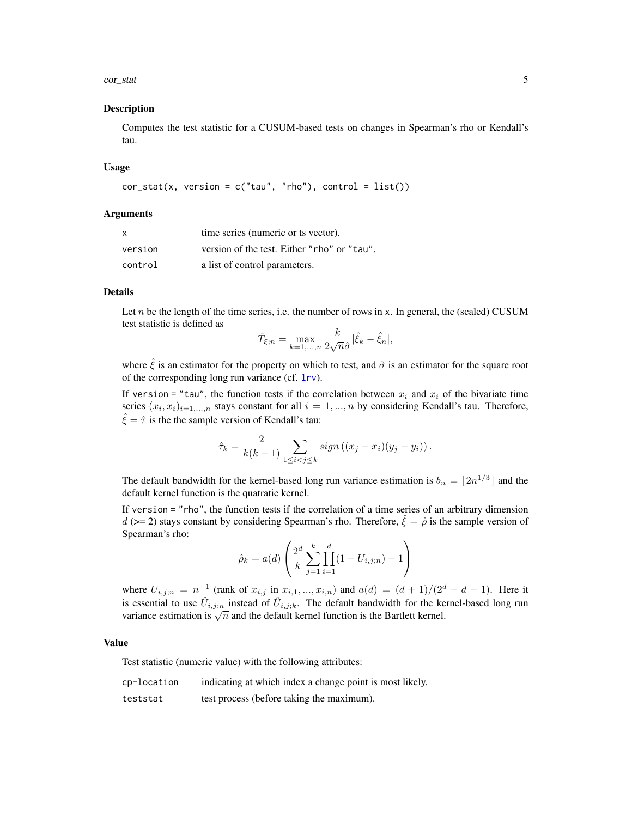#### <span id="page-4-0"></span>cor\_stat 5

#### Description

Computes the test statistic for a CUSUM-based tests on changes in Spearman's rho or Kendall's tau.

#### Usage

```
cor\_stat(x, version = c("tau", "rho"), control = list())
```
#### Arguments

| $\mathsf{x}$ | time series (numeric or ts vector).         |
|--------------|---------------------------------------------|
| version      | version of the test. Either "rho" or "tau". |
| control      | a list of control parameters.               |

#### Details

Let  $n$  be the length of the time series, i.e. the number of rows in x. In general, the (scaled) CUSUM test statistic is defined as

$$
\hat{T}_{\xi;n} = \max_{k=1,\dots,n} \frac{k}{2\sqrt{n}\hat{\sigma}} |\hat{\xi}_k - \hat{\xi}_n|,
$$

where  $\hat{\xi}$  is an estimator for the property on which to test, and  $\hat{\sigma}$  is an estimator for the square root of the corresponding long run variance (cf. [lrv](#page-13-1)).

If version = "tau", the function tests if the correlation between  $x_i$  and  $x_i$  of the bivariate time series  $(x_i, x_i)_{i=1,\dots,n}$  stays constant for all  $i = 1, \dots, n$  by considering Kendall's tau. Therefore,  $\hat{\xi} = \hat{\tau}$  is the the sample version of Kendall's tau:

$$
\hat{\tau}_k = \frac{2}{k(k-1)} \sum_{1 \leq i < j \leq k} sign\left( (x_j - x_i)(y_j - y_i) \right).
$$

The default bandwidth for the kernel-based long run variance estimation is  $b_n = \lfloor 2n^{1/3} \rfloor$  and the default kernel function is the quatratic kernel.

If version = "rho", the function tests if the correlation of a time series of an arbitrary dimension  $d$  (>= 2) stays constant by considering Spearman's rho. Therefore,  $\hat{\xi} = \hat{\rho}$  is the sample version of Spearman's rho:

$$
\hat{\rho}_k = a(d) \left( \frac{2^d}{k} \sum_{j=1}^k \prod_{i=1}^d (1 - U_{i,j;n}) - 1 \right)
$$

where  $U_{i,j;n} = n^{-1}$  (rank of  $x_{i,j}$  in  $x_{i,1},...,x_{i,n}$ ) and  $a(d) = (d+1)/(2^d - d - 1)$ . Here it is essential to use  $\hat{U}_{i,j;n}$  instead of  $\hat{U}_{i,j;k}$ . The default bandwidth for the kernel-based long run is essential to use  $U_{i,j;n}$  instead of  $U_{i,j;k}$ . The default bandwiddle for the Ke<br>variance estimation is  $\sqrt{n}$  and the default kernel function is the Bartlett kernel.

#### Value

Test statistic (numeric value) with the following attributes:

| cp-location | indicating at which index a change point is most likely. |
|-------------|----------------------------------------------------------|
| teststat    | test process (before taking the maximum).                |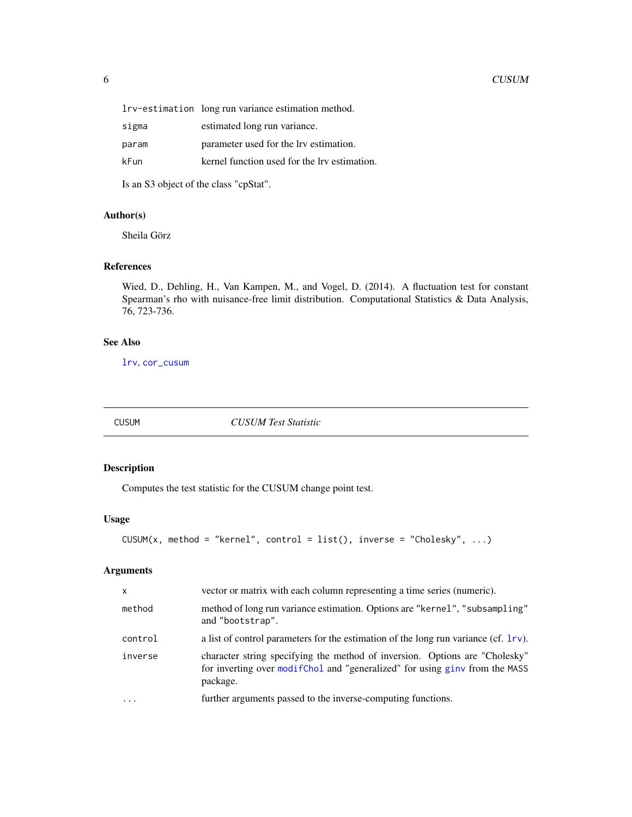<span id="page-5-0"></span>

|       | lrv-estimation long run variance estimation method. |
|-------|-----------------------------------------------------|
| sigma | estimated long run variance.                        |
| param | parameter used for the lrv estimation.              |
| kFun  | kernel function used for the lrv estimation.        |
|       |                                                     |

Is an S3 object of the class "cpStat".

#### Author(s)

Sheila Görz

#### References

Wied, D., Dehling, H., Van Kampen, M., and Vogel, D. (2014). A fluctuation test for constant Spearman's rho with nuisance-free limit distribution. Computational Statistics & Data Analysis, 76, 723-736.

#### See Also

[lrv](#page-13-1), [cor\\_cusum](#page-1-1)

<span id="page-5-1"></span>

CUSUM *CUSUM Test Statistic*

#### Description

Computes the test statistic for the CUSUM change point test.

#### Usage

```
CUSUM(x, method = "kernel", control = list(), inverse = "Cholesky", ...)
```
#### Arguments

| $\mathsf{x}$ | vector or matrix with each column representing a time series (numeric).                                                                                                 |
|--------------|-------------------------------------------------------------------------------------------------------------------------------------------------------------------------|
| method       | method of long run variance estimation. Options are "kernel", "subsampling"<br>and "bootstrap".                                                                         |
| control      | a list of control parameters for the estimation of the long run variance (cf. 1rv).                                                                                     |
| inverse      | character string specifying the method of inversion. Options are "Cholesky"<br>for inverting over modif Chol and "generalized" for using ginv from the MASS<br>package. |
| $\cdots$     | further arguments passed to the inverse-computing functions.                                                                                                            |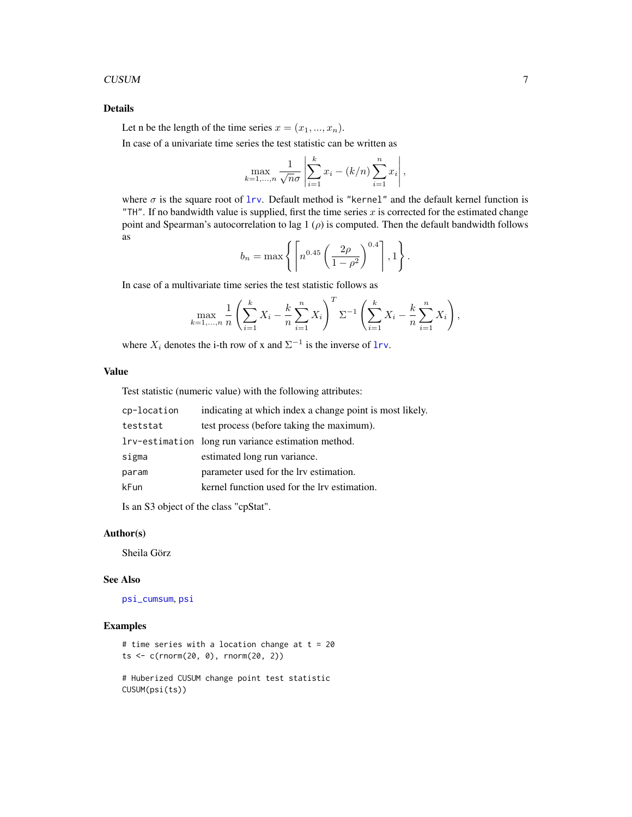#### <span id="page-6-0"></span>CUSUM 7

#### Details

Let n be the length of the time series  $x = (x_1, ..., x_n)$ .

In case of a univariate time series the test statistic can be written as

$$
\max_{k=1,...,n} \frac{1}{\sqrt{n}\sigma} \left| \sum_{i=1}^{k} x_i - (k/n) \sum_{i=1}^{n} x_i \right|,
$$

where  $\sigma$  is the square root of  $1rv$ . Default method is "kernel" and the default kernel function is "TH". If no bandwidth value is supplied, first the time series  $x$  is corrected for the estimated change point and Spearman's autocorrelation to lag 1  $(\rho)$  is computed. Then the default bandwidth follows as

$$
b_n = \max\left\{ \left\lceil n^{0.45} \left( \frac{2\rho}{1-\rho^2} \right)^{0.4} \right\rceil, 1 \right\}.
$$

In case of a multivariate time series the test statistic follows as

$$
\max_{k=1,\dots,n} \frac{1}{n} \left( \sum_{i=1}^k X_i - \frac{k}{n} \sum_{i=1}^n X_i \right)^T \Sigma^{-1} \left( \sum_{i=1}^k X_i - \frac{k}{n} \sum_{i=1}^n X_i \right),
$$

where  $X_i$  denotes the i-th row of x and  $\Sigma^{-1}$  is the inverse of [lrv](#page-13-1).

#### Value

Test statistic (numeric value) with the following attributes:

| cp-location | indicating at which index a change point is most likely. |
|-------------|----------------------------------------------------------|
| teststat    | test process (before taking the maximum).                |
|             | lrv-estimation long run variance estimation method.      |
| sigma       | estimated long run variance.                             |
| param       | parameter used for the lrv estimation.                   |
| kFun        | kernel function used for the lrv estimation.             |
|             |                                                          |

Is an S3 object of the class "cpStat".

#### Author(s)

Sheila Görz

#### See Also

[psi\\_cumsum](#page-24-1), [psi](#page-23-1)

#### Examples

```
# time series with a location change at t = 20ts < -c(rnorm(20, 0), rnorm(20, 2))
```

```
# Huberized CUSUM change point test statistic
CUSUM(psi(ts))
```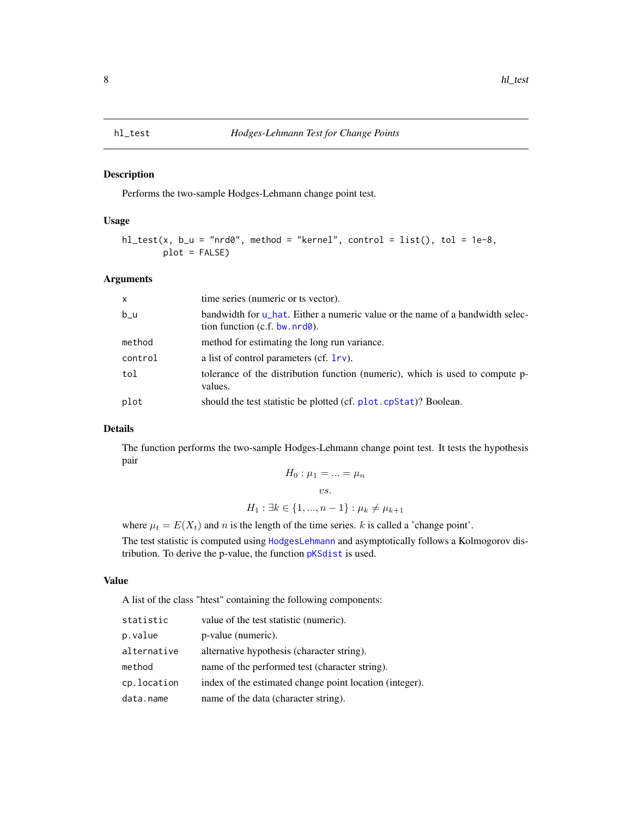#### <span id="page-7-0"></span>Description

Performs the two-sample Hodges-Lehmann change point test.

#### Usage

```
hl_test(x, b_u = "nrd0", method = "kernel", control = list(), tol = 1e-8,plot = FALSE)
```
#### Arguments

| $\times$ | time series (numeric or ts vector).                                                                               |
|----------|-------------------------------------------------------------------------------------------------------------------|
| $b_{-}u$ | bandwidth for u_hat. Either a numeric value or the name of a bandwidth selec-<br>tion function $(c.f. bw.nrd@)$ . |
| method   | method for estimating the long run variance.                                                                      |
| control  | a list of control parameters (cf. $1rv$ ).                                                                        |
| tol      | tolerance of the distribution function (numeric), which is used to compute p-<br>values.                          |
| plot     | should the test statistic be plotted (cf. plot. cpStat)? Boolean.                                                 |

#### Details

The function performs the two-sample Hodges-Lehmann change point test. It tests the hypothesis pair

$$
H_0: \mu_1 = \dots = \mu_n
$$
  
vs.

 $H_1 : \exists k \in \{1, ..., n-1\} : \mu_k \neq \mu_{k+1}$ 

where  $\mu_t = E(X_t)$  and n is the length of the time series. k is called a 'change point'.

The test statistic is computed using [HodgesLehmann](#page-8-2) and asymptotically follows a Kolmogorov distribution. To derive the p-value, the function [pKSdist](#page-20-1) is used.

#### Value

A list of the class "htest" containing the following components:

| statistic   | value of the test statistic (numeric).                  |
|-------------|---------------------------------------------------------|
| p.value     | p-value (numeric).                                      |
| alternative | alternative hypothesis (character string).              |
| method      | name of the performed test (character string).          |
| cp.location | index of the estimated change point location (integer). |
| data.name   | name of the data (character string).                    |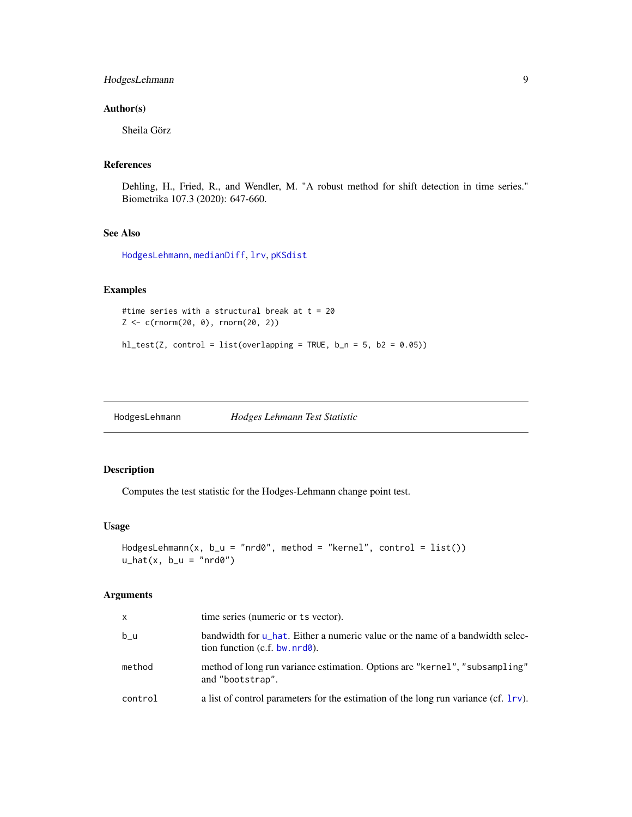#### <span id="page-8-0"></span>HodgesLehmann 9

#### Author(s)

Sheila Görz

#### References

Dehling, H., Fried, R., and Wendler, M. "A robust method for shift detection in time series." Biometrika 107.3 (2020): 647-660.

## See Also

[HodgesLehmann](#page-8-2), [medianDiff](#page-18-1), [lrv](#page-13-1), [pKSdist](#page-20-1)

#### Examples

```
#time series with a structural break at t = 20Z <- c(rnorm(20, 0), rnorm(20, 2))
```
 $hl_test(Z, control = list(overlapping = TRUE, b_n = 5, b2 = 0.05))$ 

<span id="page-8-2"></span>HodgesLehmann *Hodges Lehmann Test Statistic*

#### <span id="page-8-1"></span>Description

Computes the test statistic for the Hodges-Lehmann change point test.

#### Usage

```
HodgesLehmann(x, b_u = "nrd0", method = "kernel", control = list())u_hat(x, b_u = "nrd0")
```
#### Arguments

| X       | time series (numeric or ts vector).                                                                               |
|---------|-------------------------------------------------------------------------------------------------------------------|
| b u     | bandwidth for u_hat. Either a numeric value or the name of a bandwidth selec-<br>tion function $(c.f. bw.nrd@)$ . |
| method  | method of long run variance estimation. Options are "kernel", "subsampling"<br>and "bootstrap".                   |
| control | a list of control parameters for the estimation of the long run variance (cf. 1rv).                               |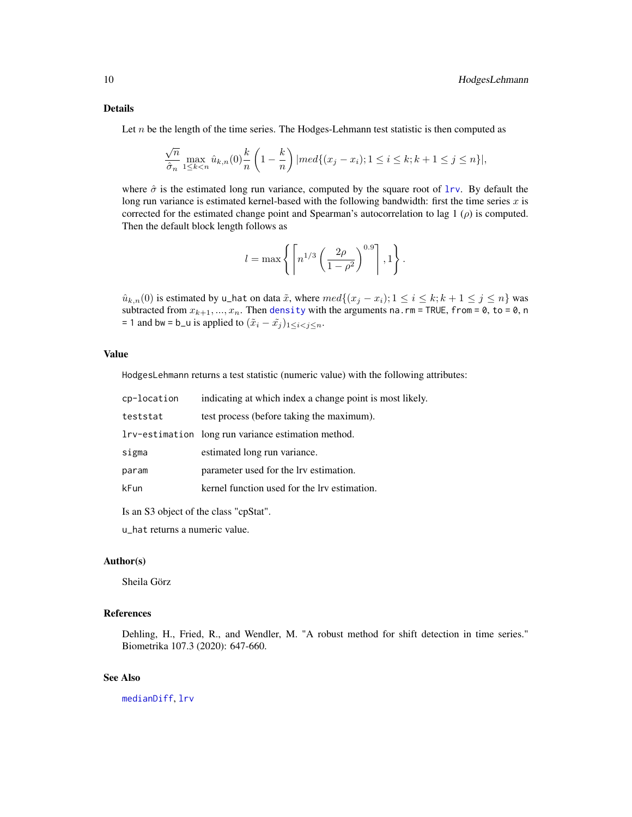#### <span id="page-9-0"></span>Details

Let  $n$  be the length of the time series. The Hodges-Lehmann test statistic is then computed as

$$
\frac{\sqrt{n}}{\hat{\sigma}_n} \max_{1 \le k < n} \hat{u}_{k,n}(0) \frac{k}{n} \left(1 - \frac{k}{n}\right) |med\{(x_j - x_i); 1 \le i \le k; k + 1 \le j \le n\} |,
$$

where  $\hat{\sigma}$  is the estimated long run variance, computed by the square root of [lrv](#page-13-1). By default the long run variance is estimated kernel-based with the following bandwidth: first the time series  $x$  is corrected for the estimated change point and Spearman's autocorrelation to lag 1  $(\rho)$  is computed. Then the default block length follows as

$$
l = \max\left\{ \left\lceil n^{1/3} \left( \frac{2\rho}{1 - \rho^2} \right)^{0.9} \right\rceil, 1 \right\}.
$$

 $\hat{u}_{k,n}(0)$  is estimated by u\_hat on data  $\tilde{x}$ , where  $med\{(x_j - x_i); 1 \leq i \leq k; k + 1 \leq j \leq n\}$  was subtracted from  $x_{k+1},...,x_n$ . Then [density](#page-0-0) with the arguments na.rm = TRUE, from = 0, to = 0, n = 1 and bw = b\_u is applied to  $(\tilde{x}_i - \tilde{x}_j)_{1 \leq i < j \leq n}$ .

#### Value

HodgesLehmann returns a test statistic (numeric value) with the following attributes:

| cp-location | indicating at which index a change point is most likely. |
|-------------|----------------------------------------------------------|
| teststat    | test process (before taking the maximum).                |
|             | Investimation long run variance estimation method.       |
| sigma       | estimated long run variance.                             |
| param       | parameter used for the lrv estimation.                   |
| kFun        | kernel function used for the lry estimation.             |

Is an S3 object of the class "cpStat".

u\_hat returns a numeric value.

#### Author(s)

Sheila Görz

#### References

Dehling, H., Fried, R., and Wendler, M. "A robust method for shift detection in time series." Biometrika 107.3 (2020): 647-660.

#### See Also

[medianDiff](#page-18-1), [lrv](#page-13-1)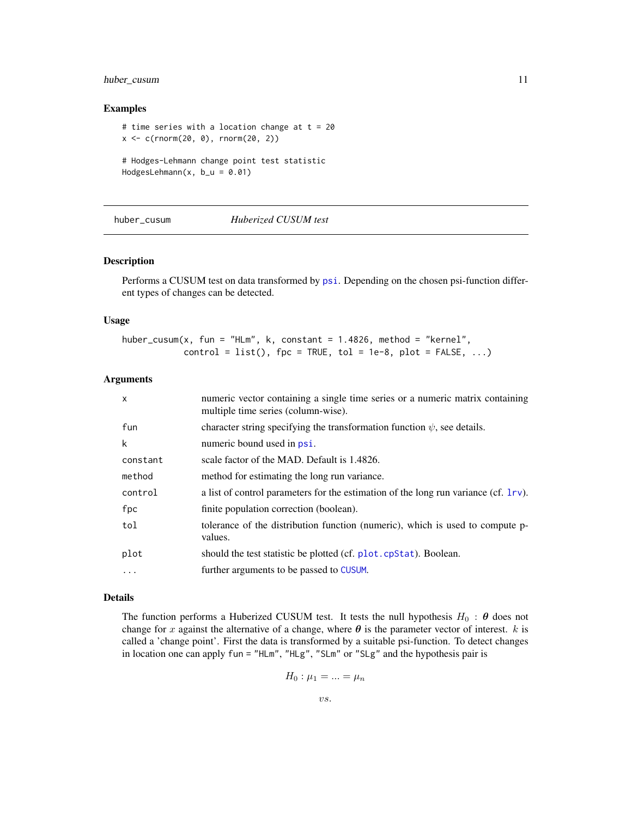#### <span id="page-10-0"></span>huber\_cusum 11

#### Examples

```
# time series with a location change at t = 20x < -c(rnorm(20, 0), rnorm(20, 2))
# Hodges-Lehmann change point test statistic
HodgesLehmann(x, b_u = 0.01)
```
<span id="page-10-1"></span>

huber\_cusum *Huberized CUSUM test*

#### Description

Performs a CUSUM test on data transformed by [psi](#page-23-1). Depending on the chosen psi-function different types of changes can be detected.

#### Usage

huber\_cusum(x, fun = "HLm", k, constant =  $1.4826$ , method = "kernel",  $control = list(),$   $fpc = TRUE,$   $tol = 1e-8, plot = FALSE, ...)$ 

#### **Arguments**

| $\mathsf{x}$ | numeric vector containing a single time series or a numeric matrix containing<br>multiple time series (column-wise). |
|--------------|----------------------------------------------------------------------------------------------------------------------|
| fun          | character string specifying the transformation function $\psi$ , see details.                                        |
| k            | numeric bound used in psi.                                                                                           |
| constant     | scale factor of the MAD. Default is 1.4826.                                                                          |
| method       | method for estimating the long run variance.                                                                         |
| control      | a list of control parameters for the estimation of the long run variance (cf. $1rv$ ).                               |
| fpc          | finite population correction (boolean).                                                                              |
| tol          | tolerance of the distribution function (numeric), which is used to compute p-<br>values.                             |
| plot         | should the test statistic be plotted (cf. plot. cpStat). Boolean.                                                    |
| $\cdot$      | further arguments to be passed to CUSUM.                                                                             |

#### Details

The function performs a Huberized CUSUM test. It tests the null hypothesis  $H_0$  :  $\theta$  does not change for x against the alternative of a change, where  $\theta$  is the parameter vector of interest. k is called a 'change point'. First the data is transformed by a suitable psi-function. To detect changes in location one can apply fun = "HLm", "HLg", "SLm" or "SLg" and the hypothesis pair is

$$
H_0: \mu_1 = \ldots = \mu_n
$$

$$
vs.
$$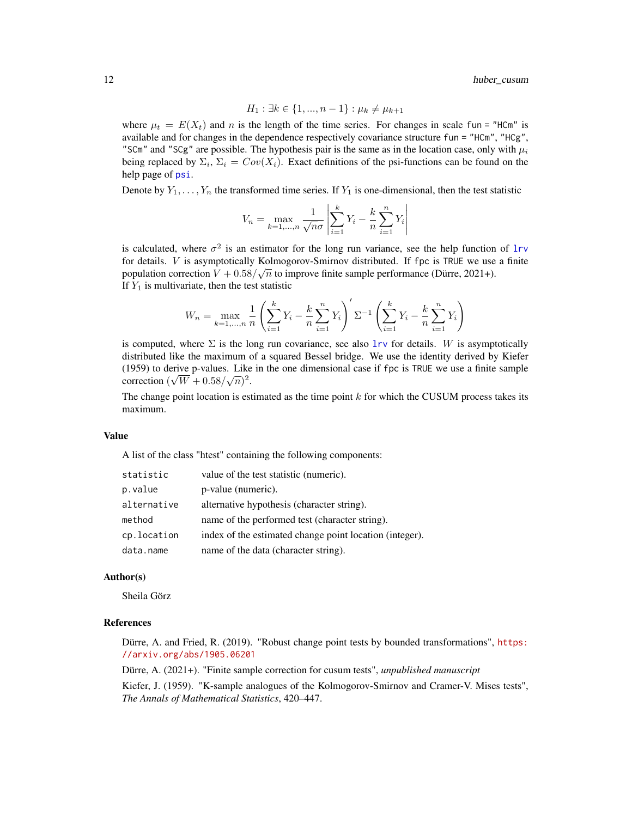$$
H_1: \exists k \in \{1, ..., n-1\} : \mu_k \neq \mu_{k+1}
$$

where  $\mu_t = E(X_t)$  and n is the length of the time series. For changes in scale fun = "HCm" is available and for changes in the dependence respectively covariance structure fun = "HCm", "HCg", "SCm" and "SCg" are possible. The hypothesis pair is the same as in the location case, only with  $\mu_i$ being replaced by  $\Sigma_i$ ,  $\Sigma_i = Cov(X_i)$ . Exact definitions of the psi-functions can be found on the help page of [psi](#page-23-1).

Denote by  $Y_1, \ldots, Y_n$  the transformed time series. If  $Y_1$  is one-dimensional, then the test statistic

$$
V_n = \max_{k=1,...,n} \frac{1}{\sqrt{n}\sigma} \left| \sum_{i=1}^k Y_i - \frac{k}{n} \sum_{i=1}^n Y_i \right|
$$

is calculated, where  $\sigma^2$  is an estimator for the long run variance, see the help function of [lrv](#page-13-1) for details. *V* is asymptotically Kolmogorov-Smirnov distributed. If fpc is TRUE we use a finite population correction  $V + 0.58/\sqrt{n}$  to improve finite sample performance (Dürre, 2021+). If  $Y_1$  is multivariate, then the test statistic

$$
W_n = \max_{k=1,...,n} \frac{1}{n} \left( \sum_{i=1}^k Y_i - \frac{k}{n} \sum_{i=1}^n Y_i \right)' \Sigma^{-1} \left( \sum_{i=1}^k Y_i - \frac{k}{n} \sum_{i=1}^n Y_i \right)
$$

is computed, where  $\Sigma$  is the long run covariance, see also [lrv](#page-13-1) for details. W is asymptotically distributed like the maximum of a squared Bessel bridge. We use the identity derived by Kiefer (1959) to derive p-values. Like in the one dimensional case if fpc is TRUE we use a finite sample correction  $(\sqrt{W} + 0.58/\sqrt{n})^2$ .

The change point location is estimated as the time point  $k$  for which the CUSUM process takes its maximum.

#### Value

A list of the class "htest" containing the following components:

| statistic   | value of the test statistic (numeric).                  |
|-------------|---------------------------------------------------------|
| p.value     | p-value (numeric).                                      |
| alternative | alternative hypothesis (character string).              |
| method      | name of the performed test (character string).          |
| cp.location | index of the estimated change point location (integer). |
| data.name   | name of the data (character string).                    |

#### Author(s)

Sheila Görz

#### References

Dürre, A. and Fried, R. (2019). "Robust change point tests by bounded transformations", [https:](https://arxiv.org/abs/1905.06201) [//arxiv.org/abs/1905.06201](https://arxiv.org/abs/1905.06201)

Dürre, A. (2021+). "Finite sample correction for cusum tests", *unpublished manuscript*

Kiefer, J. (1959). "K-sample analogues of the Kolmogorov-Smirnov and Cramer-V. Mises tests", *The Annals of Mathematical Statistics*, 420–447.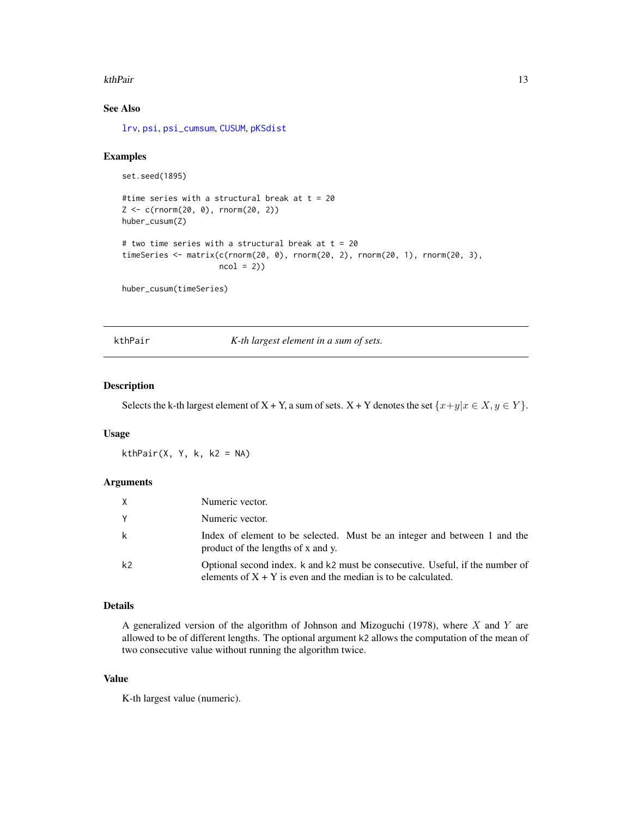#### <span id="page-12-0"></span>kthPair 13

#### See Also

[lrv](#page-13-1), [psi](#page-23-1), [psi\\_cumsum](#page-24-1), [CUSUM](#page-5-1), [pKSdist](#page-20-1)

#### Examples

```
set.seed(1895)
```

```
#time series with a structural break at t = 20Z \leq c(\text{rnorm}(20, 0), \text{rnorm}(20, 2))huber_cusum(Z)
# two time series with a structural break at t = 20timeSeries <- matrix(c(rnorm(20, 0), rnorm(20, 2), rnorm(20, 1), rnorm(20, 3),
                      ncol = 2)
```
huber\_cusum(timeSeries)

<span id="page-12-1"></span>kthPair *K-th largest element in a sum of sets.*

#### Description

Selects the k-th largest element of X + Y, a sum of sets.  $X + Y$  denotes the set  $\{x+y|x \in X, y \in Y\}$ .

#### Usage

 $kthPair(X, Y, k, k2 = NA)$ 

#### Arguments

| X              | Numeric vector.                                                                                                                                  |
|----------------|--------------------------------------------------------------------------------------------------------------------------------------------------|
| Y              | Numeric vector.                                                                                                                                  |
| k              | Index of element to be selected. Must be an integer and between 1 and the<br>product of the lengths of x and y.                                  |
| k <sub>2</sub> | Optional second index. k and k2 must be consecutive. Useful, if the number of<br>elements of $X + Y$ is even and the median is to be calculated. |

#### Details

A generalized version of the algorithm of Johnson and Mizoguchi (1978), where  $X$  and  $Y$  are allowed to be of different lengths. The optional argument k2 allows the computation of the mean of two consecutive value without running the algorithm twice.

#### Value

K-th largest value (numeric).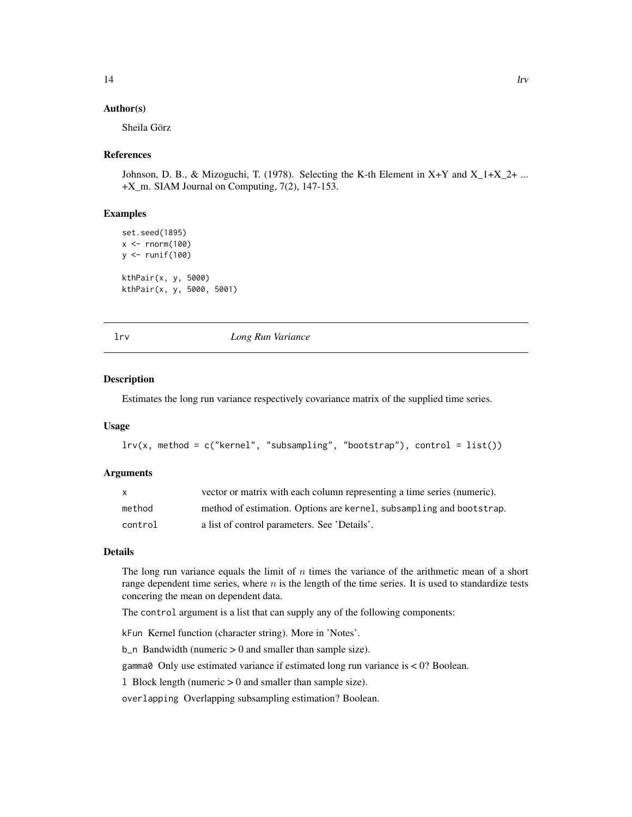#### <span id="page-13-0"></span>Author(s)

Sheila Görz

#### References

Johnson, D. B., & Mizoguchi, T. (1978). Selecting the K-th Element in X+Y and  $X_1+X_2+...$ +X\_m. SIAM Journal on Computing, 7(2), 147-153.

#### Examples

```
set.seed(1895)
x < - rnorm(100)
y <- runif(100)
kthPair(x, y, 5000)
kthPair(x, y, 5000, 5001)
```
lrv *Long Run Variance*

#### **Description**

Estimates the long run variance respectively covariance matrix of the supplied time series.

#### Usage

```
lrv(x, method = c("kernel", "subsampling", "bootstrap"), control = list())
```
#### Arguments

|         | vector or matrix with each column representing a time series (numeric). |
|---------|-------------------------------------------------------------------------|
| method  | method of estimation. Options are kernel, subsampling and bootstrap.    |
| control | a list of control parameters. See 'Details'.                            |

#### Details

The long run variance equals the limit of  $n$  times the variance of the arithmetic mean of a short range dependent time series, where  $n$  is the length of the time series. It is used to standardize tests concering the mean on dependent data.

The control argument is a list that can supply any of the following components:

kFun Kernel function (character string). More in 'Notes'.

 $b_n$  Bandwidth (numeric  $> 0$  and smaller than sample size).

gamma0 Only use estimated variance if estimated long run variance is < 0? Boolean.

l Block length (numeric > 0 and smaller than sample size).

overlapping Overlapping subsampling estimation? Boolean.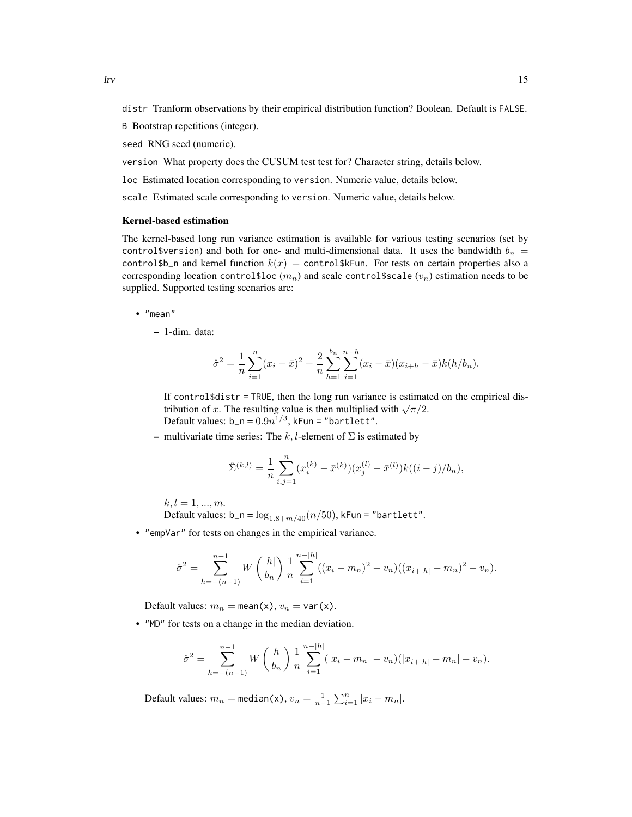distr Tranform observations by their empirical distribution function? Boolean. Default is FALSE.

B Bootstrap repetitions (integer).

seed RNG seed (numeric).

version What property does the CUSUM test test for? Character string, details below.

loc Estimated location corresponding to version. Numeric value, details below.

scale Estimated scale corresponding to version. Numeric value, details below.

#### Kernel-based estimation

The kernel-based long run variance estimation is available for various testing scenarios (set by control \$version) and both for one- and multi-dimensional data. It uses the bandwidth  $b_n =$ control\$b\_n and kernel function  $k(x) =$  control\$kFun. For tests on certain properties also a corresponding location control\$loc  $(m_n)$  and scale control\$scale  $(v_n)$  estimation needs to be supplied. Supported testing scenarios are:

- "mean"
	- 1-dim. data:

$$
\hat{\sigma}^2 = \frac{1}{n} \sum_{i=1}^n (x_i - \bar{x})^2 + \frac{2}{n} \sum_{h=1}^{b_n} \sum_{i=1}^{n-h} (x_i - \bar{x})(x_{i+h} - \bar{x})k(h/b_n).
$$

If control $\text{\$distr = TRUE},$  then the long run variance is estimated on the empirical dis-It concretively also not all the long run variance is estimated with  $\sqrt{\pi}/2$ . Default values:  $b_n = 0.9n^{1/3}$ , kFun = "bartlett".

– multivariate time series: The k, l-element of  $\Sigma$  is estimated by

$$
\hat{\Sigma}^{(k,l)} = \frac{1}{n} \sum_{i,j=1}^{n} (x_i^{(k)} - \bar{x}^{(k)})(x_j^{(l)} - \bar{x}^{(l)})k((i-j)/b_n),
$$

 $k, l = 1, ..., m$ .

Default values:  $b_n = log_{1.8+m/40}(n/50)$ , kFun = "bartlett".

• "empVar" for tests on changes in the empirical variance.

$$
\hat{\sigma}^2 = \sum_{h=-\frac{n-1}{2}}^{n-1} W\left(\frac{|h|}{b_n}\right) \frac{1}{n} \sum_{i=1}^{n-|h|} ((x_i - m_n)^2 - v_n)((x_{i+|h|} - m_n)^2 - v_n).
$$

Default values:  $m_n = \text{mean}(x)$ ,  $v_n = \text{var}(x)$ .

• "MD" for tests on a change in the median deviation.

$$
\hat{\sigma}^2 = \sum_{h=-\frac{n-1}{2}}^{n-1} W\left(\frac{|h|}{b_n}\right) \frac{1}{n} \sum_{i=1}^{n-|h|} (|x_i - m_n| - v_n)(|x_{i+|h|} - m_n| - v_n).
$$

Default values:  $m_n = \text{median}(x)$ ,  $v_n = \frac{1}{n-1} \sum_{i=1}^n |x_i - m_n|$ .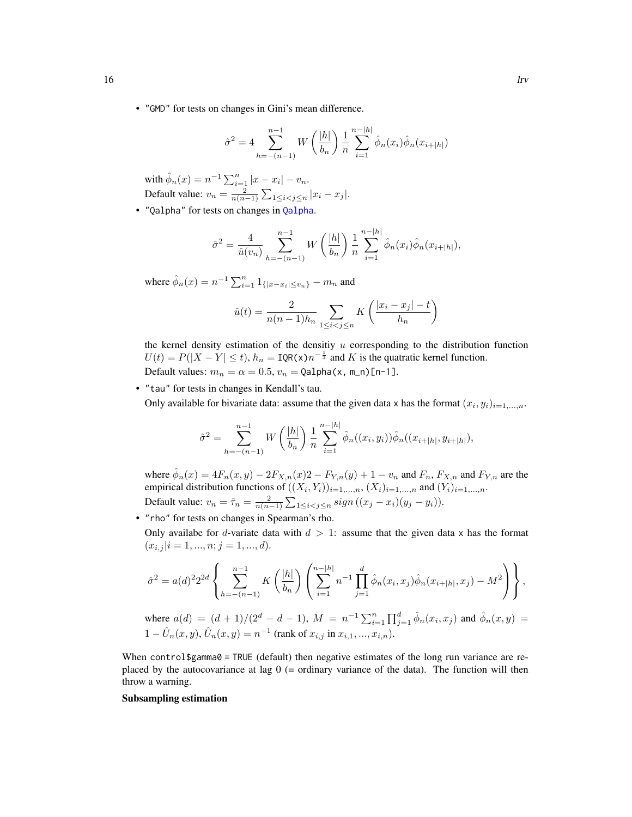• "GMD" for tests on changes in Gini's mean difference.

$$
\hat{\sigma}^2 = 4 \sum_{h=-(n-1)}^{n-1} W\left(\frac{|h|}{b_n}\right) \frac{1}{n} \sum_{i=1}^{n-|h|} \hat{\phi}_n(x_i) \hat{\phi}_n(x_{i+|h|})
$$

with  $\hat{\phi}_n(x) = n^{-1} \sum_{i=1}^n |x - x_i| - v_n$ . Default value:  $v_n = \frac{2}{n(n-1)} \sum_{1 \leq i < j \leq n} |x_i - x_j|$ .

• "Qalpha" for tests on changes in [Qalpha](#page-25-1).

$$
\hat{\sigma}^2 = \frac{4}{\hat{u}(v_n)} \sum_{h=-\frac{n-1}{2}}^{n-1} W\left(\frac{|h|}{b_n}\right) \frac{1}{n} \sum_{i=1}^{n-|h|} \hat{\phi}_n(x_i) \hat{\phi}_n(x_{i+|h|}),
$$

where  $\hat{\phi}_n(x) = n^{-1} \sum_{i=1}^n 1_{\{|x-x_i| \le v_n\}} - m_n$  and

$$
\hat{u}(t) = \frac{2}{n(n-1)h_n} \sum_{1 \le i < j \le n} K\left(\frac{|x_i - x_j| - t}{h_n}\right)
$$

the kernel density estimation of the densitiy  $u$  corresponding to the distribution function  $U(t) = P(|X - Y| \le t)$ ,  $h_n = \text{IQR}(x)n^{-\frac{1}{3}}$  and K is the quatratic kernel function. Default values:  $m_n = \alpha = 0.5$ ,  $v_n = \text{Qalpha}(x, m_n)$ [n-1].

• "tau" for tests in changes in Kendall's tau. Only available for bivariate data: assume that the given data x has the format  $(x_i, y_i)_{i=1,\dots,n}$ .

$$
\hat{\sigma}^2 = \sum_{h=-\binom{n-1}{}}^{n-1} W\left(\frac{|h|}{b_n}\right) \frac{1}{n} \sum_{i=1}^{n-|h|} \hat{\phi}_n((x_i, y_i)) \hat{\phi}_n((x_{i+|h|}, y_{i+|h|}),
$$

where  $\hat{\phi}_n(x) = 4F_n(x, y) - 2F_{X,n}(x)2 - F_{Y,n}(y) + 1 - v_n$  and  $F_n$ ,  $F_{X,n}$  and  $F_{Y,n}$  are the empirical distribution functions of  $((X_i, Y_i))_{i=1,\dots,n}$ ,  $(X_i)_{i=1,\dots,n}$  and  $(Y_i)_{i=1,\dots,n}$ . Default value:  $v_n = \hat{\tau}_n = \frac{2}{n(n-1)} \sum_{1 \le i < j \le n} sign ((x_j - x_i)(y_j - y_i)).$ 

• "rho" for tests on changes in Spearman's rho.

Only availabe for d-variate data with  $d > 1$ : assume that the given data x has the format  $(x_{i,j} | i = 1, ..., n; j = 1, ..., d).$ 

$$
\hat{\sigma}^2 = a(d)^2 2^{2d} \left\{ \sum_{h=-\left(n-1\right)}^{n-1} K\left(\frac{|h|}{b_n}\right) \left(\sum_{i=1}^{n-|h|} n^{-1} \prod_{j=1}^d \hat{\phi}_n(x_i, x_j) \hat{\phi}_n(x_{i+|h|}, x_j) - M^2\right) \right\},\,
$$

where  $a(d) = (d+1)/(2^d - d - 1)$ ,  $M = n^{-1} \sum_{i=1}^n \prod_{j=1}^d \hat{\phi}_n(x_i, x_j)$  and  $\hat{\phi}_n(x, y) =$  $1 - \hat{U}_n(x, y), \hat{U}_n(x, y) = n^{-1}$  (rank of  $x_{i,j}$  in  $x_{i,1}, ..., x_{i,n}$ ).

When control\$gamma0 = TRUE (default) then negative estimates of the long run variance are replaced by the autocovariance at lag  $0$  (= ordinary variance of the data). The function will then throw a warning.

#### Subsampling estimation

<span id="page-15-0"></span>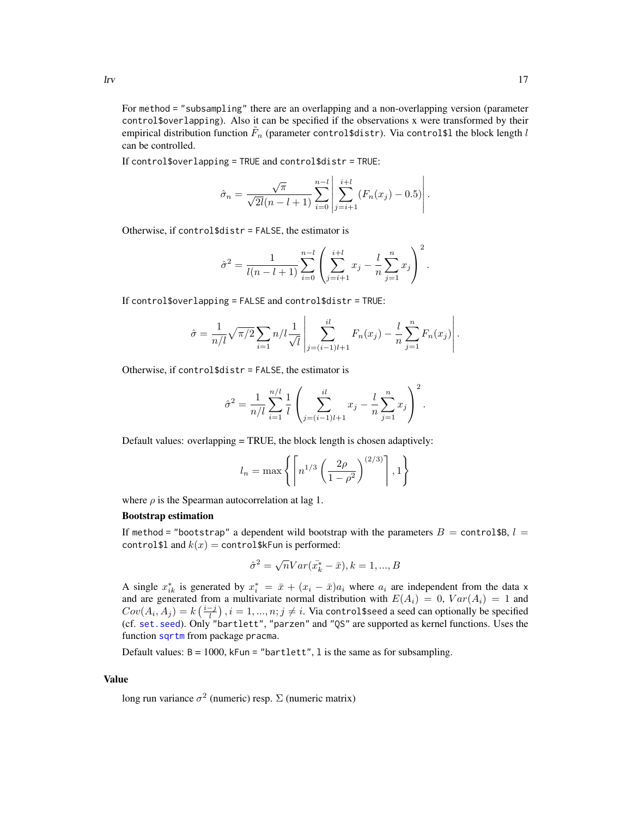<span id="page-16-0"></span>For method = "subsampling" there are an overlapping and a non-overlapping version (parameter control\$overlapping). Also it can be specified if the observations x were transformed by their empirical distribution function  $\tilde{F}_n$  (parameter control\$distr). Via control\$l the block length  $l$ can be controlled.

If control\$overlapping = TRUE and control\$distr = TRUE:

$$
\hat{\sigma}_n = \frac{\sqrt{\pi}}{\sqrt{2l(n-l+1)}} \sum_{i=0}^{n-l} \left| \sum_{j=i+1}^{i+l} (F_n(x_j) - 0.5) \right|.
$$

Otherwise, if control\$distr = FALSE, the estimator is

$$
\hat{\sigma}^2 = \frac{1}{l(n-l+1)} \sum_{i=0}^{n-l} \left( \sum_{j=i+1}^{i+l} x_j - \frac{l}{n} \sum_{j=1}^n x_j \right)^2.
$$

If control\$overlapping = FALSE and control\$distr = TRUE:

$$
\hat{\sigma} = \frac{1}{n/l} \sqrt{\pi/2} \sum_{i=1}^n n/l \frac{1}{\sqrt{l}} \left| \sum_{j=(i-1)l+1}^{il} F_n(x_j) - \frac{l}{n} \sum_{j=1}^n F_n(x_j) \right|.
$$

Otherwise, if control\$distr = FALSE, the estimator is

$$
\hat{\sigma}^2 = \frac{1}{n/l} \sum_{i=1}^{n/l} \frac{1}{l} \left( \sum_{j=(i-1)l+1}^{il} x_j - \frac{l}{n} \sum_{j=1}^{n} x_j \right)^2.
$$

Default values: overlapping = TRUE, the block length is chosen adaptively:

$$
l_n = \max\left\{ \left\lceil n^{1/3} \left( \frac{2\rho}{1-\rho^2} \right)^{(2/3)} \right\rceil, 1 \right\}
$$

where  $\rho$  is the Spearman autocorrelation at lag 1.

#### Bootstrap estimation

If method = "bootstrap" a dependent wild bootstrap with the parameters  $B =$  control\$B,  $l =$ control \$1 and  $k(x) =$  control \$kFun is performed:

$$
\hat{\sigma}^2 = \sqrt{n}Var(\bar{x_k^*} - \bar{x}), k = 1, ..., B
$$

A single  $x_{ik}^*$  is generated by  $x_i^* = \bar{x} + (x_i - \bar{x})a_i$  where  $a_i$  are independent from the data x and are generated from a multivariate normal distribution with  $E(A_i) = 0$ ,  $Var(A_i) = 1$  and  $Cov(A_i,A_j)=k\left(\frac{i-j}{l}\right), i=1,...,n; j\neq i.$  Via control\$seed a seed can optionally be specified (cf. [set.seed](#page-0-0)). Only "bartlett", "parzen" and "QS" are supported as kernel functions. Uses the function [sqrtm](#page-0-0) from package pracma.

Default values:  $B = 1000$ , kFun = "bartlett", 1 is the same as for subsampling.

#### Value

long run variance  $\sigma^2$  (numeric) resp.  $\Sigma$  (numeric matrix)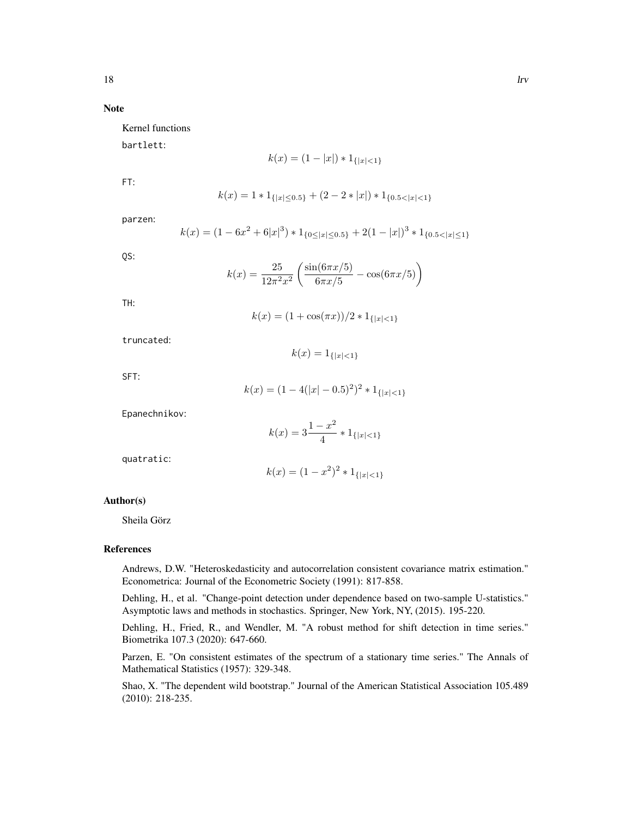Note

Kernel functions

bartlett:

$$
k(x) = (1 - |x|) * 1_{\{|x| < 1\}}
$$

FT:

$$
k(x) = 1 * 1_{\{|x| \le 0.5\}} + (2 - 2 * |x|) * 1_{\{0.5 < |x| < 1\}}
$$

parzen:

$$
k(x) = (1 - 6x^2 + 6|x|^3) * 1_{{0 \le |x| \le 0.5}} + 2(1 - |x|)^3 * 1_{{0.5 < |x| \le 1}}
$$

QS:

$$
k(x) = \frac{25}{12\pi^2 x^2} \left( \frac{\sin(6\pi x/5)}{6\pi x/5} - \cos(6\pi x/5) \right)
$$

TH:

$$
k(x) = (1 + \cos(\pi x))/2 * 1_{\{|x| < 1\}}
$$

 $k(x) = 1_{\{|x| < 1\}}$ 

truncated:

SFT:

$$
k(x) = (1 - 4(|x| - 0.5)^2)^2 * 1_{\{|x| < 1\}}
$$

Epanechnikov:

$$
k(x) = 3\frac{1-x^2}{4} * 1_{\{|x| < 1\}}
$$

quatratic:

$$
k(x) = (1 - x^2)^2 * 1_{\{|x| < 1\}}
$$

#### Author(s)

Sheila Görz

#### References

Andrews, D.W. "Heteroskedasticity and autocorrelation consistent covariance matrix estimation." Econometrica: Journal of the Econometric Society (1991): 817-858.

Dehling, H., et al. "Change-point detection under dependence based on two-sample U-statistics." Asymptotic laws and methods in stochastics. Springer, New York, NY, (2015). 195-220.

Dehling, H., Fried, R., and Wendler, M. "A robust method for shift detection in time series." Biometrika 107.3 (2020): 647-660.

Parzen, E. "On consistent estimates of the spectrum of a stationary time series." The Annals of Mathematical Statistics (1957): 329-348.

Shao, X. "The dependent wild bootstrap." Journal of the American Statistical Association 105.489 (2010): 218-235.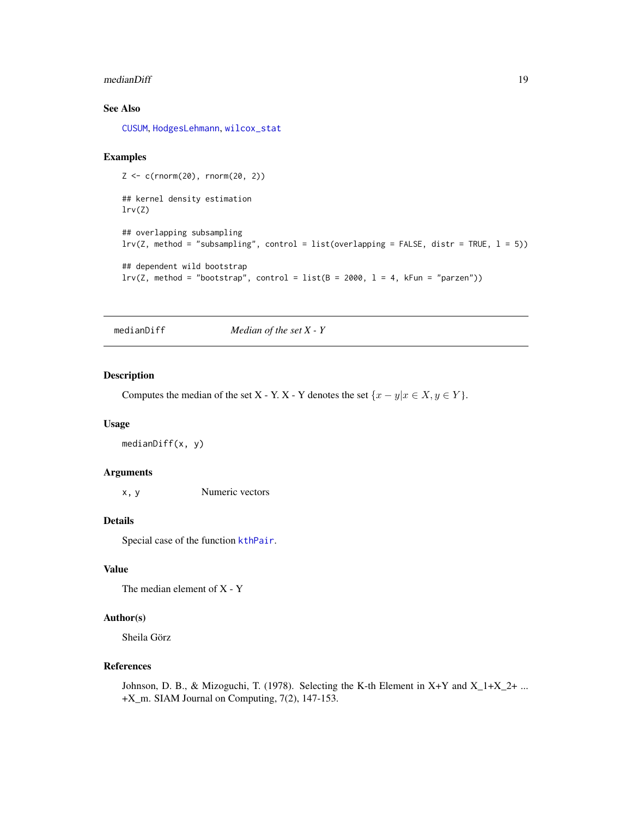#### <span id="page-18-0"></span>medianDiff 19

#### See Also

[CUSUM](#page-5-1), [HodgesLehmann](#page-8-2), [wilcox\\_stat](#page-31-1)

#### Examples

```
Z \leftarrow c(rnorm(20), rnorm(20, 2))## kernel density estimation
lrv(Z)
## overlapping subsampling
lrv(Z, method = "subsampling", control = list(overlapping = FALSE, dist = TRUE, 1 = 5))## dependent wild bootstrap
lrv(Z, method = "bootstrap", control = list(B = 2000, 1 = 4, kFun = "parameter"))
```
<span id="page-18-1"></span>medianDiff *Median of the set X - Y*

#### Description

Computes the median of the set X - Y. X - Y denotes the set  $\{x - y | x \in X, y \in Y\}$ .

#### Usage

medianDiff(x, y)

#### Arguments

x, y Numeric vectors

#### Details

Special case of the function [kthPair](#page-12-1).

#### Value

The median element of X - Y

#### Author(s)

Sheila Görz

#### References

Johnson, D. B., & Mizoguchi, T. (1978). Selecting the K-th Element in  $X+Y$  and  $X_1+X_2+...$ +X\_m. SIAM Journal on Computing, 7(2), 147-153.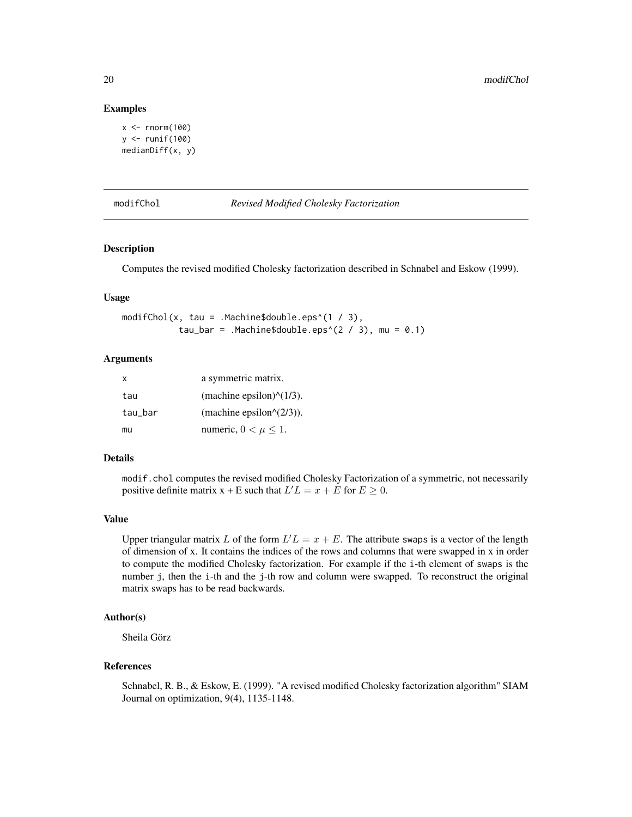#### Examples

```
x \le - rnorm(100)
y \leftarrow runif(100)medianDiff(x, y)
```
<span id="page-19-1"></span>modifChol *Revised Modified Cholesky Factorization*

#### Description

Computes the revised modified Cholesky factorization described in Schnabel and Eskow (1999).

#### Usage

modifChol(x, tau = .Machine\$double.eps^(1 / 3), tau\_bar =  $Machine\$ bauble.eps^(2 / 3), mu = 0.1)

#### Arguments

| X       | a symmetric matrix.                              |
|---------|--------------------------------------------------|
| tau     | (machine epsilon) $\frac{\gamma(1/3)}{\gamma}$ . |
| tau_bar | (machine epsilon $\sqrt{(2/3)}$ ).               |
| mu      | numeric, $0 < \mu \leq 1$ .                      |

#### Details

modif.chol computes the revised modified Cholesky Factorization of a symmetric, not necessarily positive definite matrix  $x + E$  such that  $L'L = x + E$  for  $E \ge 0$ .

#### Value

Upper triangular matrix L of the form  $L/L = x + E$ . The attribute swaps is a vector of the length of dimension of x. It contains the indices of the rows and columns that were swapped in x in order to compute the modified Cholesky factorization. For example if the i-th element of swaps is the number j, then the i-th and the j-th row and column were swapped. To reconstruct the original matrix swaps has to be read backwards.

#### Author(s)

Sheila Görz

#### References

Schnabel, R. B., & Eskow, E. (1999). "A revised modified Cholesky factorization algorithm" SIAM Journal on optimization, 9(4), 1135-1148.

<span id="page-19-0"></span>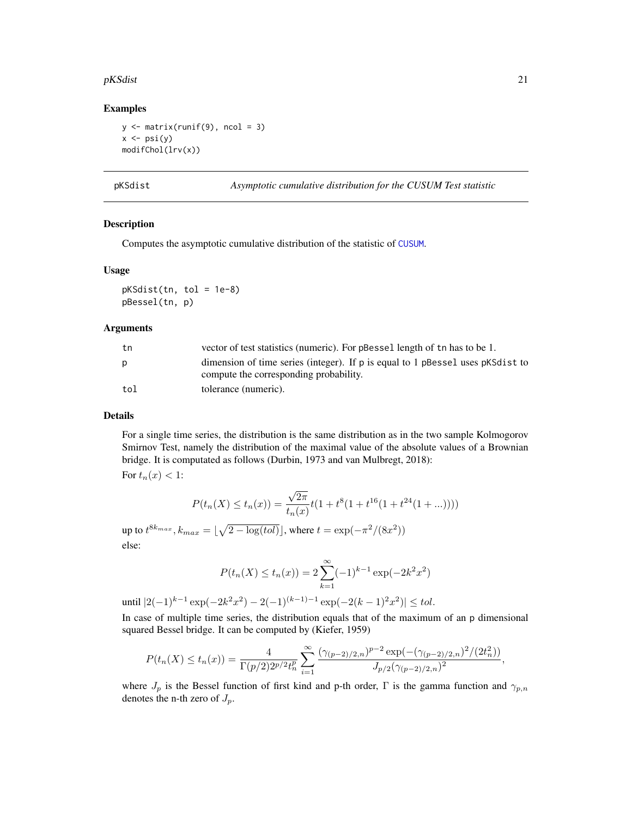#### <span id="page-20-0"></span> $pKSdist$  21

#### Examples

```
y \leftarrow matrix(runif(9), ncol = 3)
x \leftarrow \psimodifChol(lrv(x))
```
pKSdist *Asymptotic cumulative distribution for the CUSUM Test statistic*

#### Description

Computes the asymptotic cumulative distribution of the statistic of [CUSUM](#page-5-1).

#### Usage

pKSdist(tn, tol = 1e-8) pBessel(tn, p)

#### Arguments

| tn  | vector of test statistics (numeric). For pBessel length of the has to be 1.    |
|-----|--------------------------------------------------------------------------------|
|     | dimension of time series (integer). If p is equal to 1 pBessel uses pKSdist to |
|     | compute the corresponding probability.                                         |
| tol | tolerance (numeric).                                                           |

#### Details

For a single time series, the distribution is the same distribution as in the two sample Kolmogorov Smirnov Test, namely the distribution of the maximal value of the absolute values of a Brownian bridge. It is computated as follows (Durbin, 1973 and van Mulbregt, 2018):

For  $t_n(x) < 1$ :

$$
P(t_n(X) \le t_n(x)) = \frac{\sqrt{2\pi}}{t_n(x)} t(1 + t^8(1 + t^{16}(1 + t^{24}(1 + ...))))
$$

up to  $t^{8k_{max}}, k_{max} = \lfloor \sqrt{2 - \log(tol)} \rfloor$ , where  $t = \exp(-\pi^2/(8x^2))$ else:

$$
P(t_n(X) \le t_n(x)) = 2\sum_{k=1}^{\infty} (-1)^{k-1} \exp(-2k^2 x^2)
$$

until  $|2(-1)^{k-1} \exp(-2k^2x^2) - 2(-1)^{(k-1)-1} \exp(-2(k-1)^2x^2)| \leq tol.$ 

In case of multiple time series, the distribution equals that of the maximum of an p dimensional squared Bessel bridge. It can be computed by (Kiefer, 1959)

$$
P(t_n(X) \le t_n(x)) = \frac{4}{\Gamma(p/2)2^{p/2}t_n^p} \sum_{i=1}^{\infty} \frac{(\gamma_{(p-2)/2,n})^{p-2} \exp(-(\gamma_{(p-2)/2,n})^2/(2t_n^2))}{J_{p/2}(\gamma_{(p-2)/2,n})^2},
$$

where  $J_p$  is the Bessel function of first kind and p-th order, Γ is the gamma function and  $\gamma_{p,n}$ denotes the n-th zero of  $J_p$ .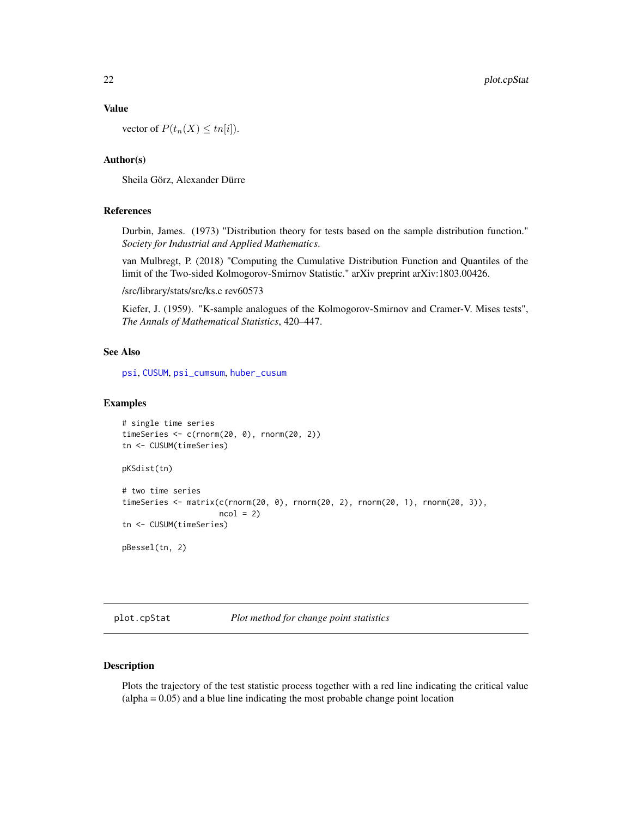#### <span id="page-21-0"></span>Value

vector of  $P(t_n(X) \leq tn[i]).$ 

#### Author(s)

Sheila Görz, Alexander Dürre

#### References

Durbin, James. (1973) "Distribution theory for tests based on the sample distribution function." *Society for Industrial and Applied Mathematics*.

van Mulbregt, P. (2018) "Computing the Cumulative Distribution Function and Quantiles of the limit of the Two-sided Kolmogorov-Smirnov Statistic." arXiv preprint arXiv:1803.00426.

/src/library/stats/src/ks.c rev60573

Kiefer, J. (1959). "K-sample analogues of the Kolmogorov-Smirnov and Cramer-V. Mises tests", *The Annals of Mathematical Statistics*, 420–447.

#### See Also

[psi](#page-23-1), [CUSUM](#page-5-1), [psi\\_cumsum](#page-24-1), [huber\\_cusum](#page-10-1)

#### Examples

```
# single time series
timeSeries <- c(rnorm(20, 0), rnorm(20, 2))
tn <- CUSUM(timeSeries)
pKSdist(tn)
# two time series
timeSeries <- matrix(c(rnorm(20, 0), rnorm(20, 2), rnorm(20, 1), rnorm(20, 3)),
                     ncol = 2tn <- CUSUM(timeSeries)
pBessel(tn, 2)
```
<span id="page-21-1"></span>plot.cpStat *Plot method for change point statistics*

#### Description

Plots the trajectory of the test statistic process together with a red line indicating the critical value (alpha = 0.05) and a blue line indicating the most probable change point location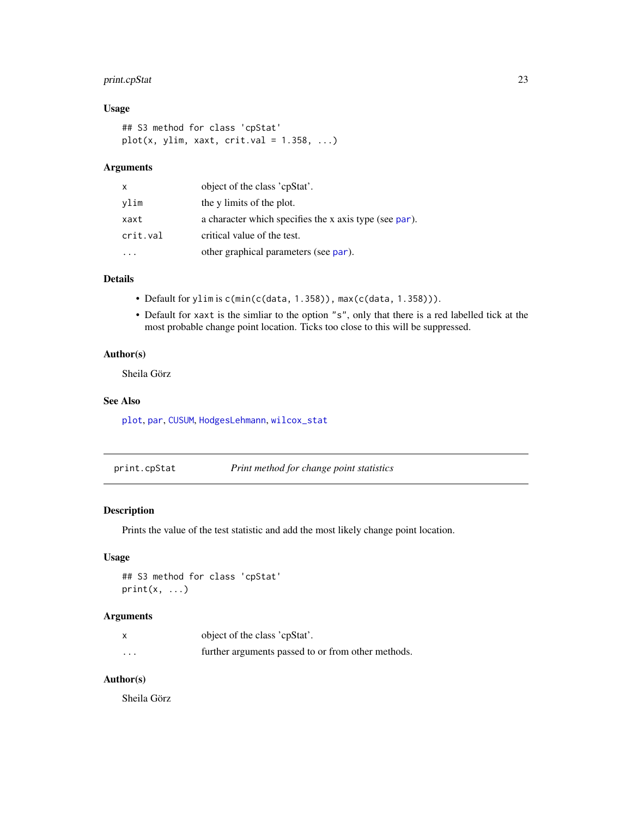#### <span id="page-22-0"></span>print.cpStat 23

#### Usage

```
## S3 method for class 'cpStat'
plot(x, ylim, xaxt, crit.val = 1.358, ...)
```
#### Arguments

| X        | object of the class 'cpStat'.                          |
|----------|--------------------------------------------------------|
| ylim     | the y limits of the plot.                              |
| xaxt     | a character which specifies the x axis type (see par). |
| crit.val | critical value of the test.                            |
|          | other graphical parameters (see par).                  |

## Details

- Default for ylim is c(min(c(data, 1.358)), max(c(data, 1.358))).
- Default for xaxt is the simliar to the option "s", only that there is a red labelled tick at the most probable change point location. Ticks too close to this will be suppressed.

#### Author(s)

Sheila Görz

#### See Also

[plot](#page-0-0), [par](#page-0-0), [CUSUM](#page-5-1), [HodgesLehmann](#page-8-2), [wilcox\\_stat](#page-31-1)

| print.cpStat | Print method for change point statistics |
|--------------|------------------------------------------|
|              |                                          |

#### Description

Prints the value of the test statistic and add the most likely change point location.

#### Usage

```
## S3 method for class 'cpStat'
print(x, \ldots)
```
#### Arguments

|         | object of the class 'cpStat'.                      |
|---------|----------------------------------------------------|
| $\cdot$ | further arguments passed to or from other methods. |

#### Author(s)

Sheila Görz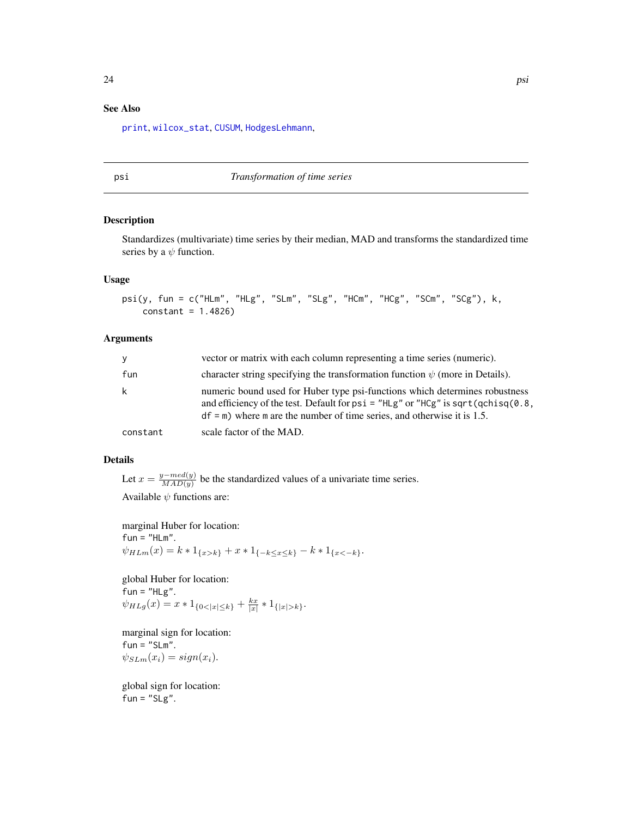#### <span id="page-23-0"></span>See Also

[print](#page-0-0), [wilcox\\_stat](#page-31-1), [CUSUM](#page-5-1), [HodgesLehmann](#page-8-2),

<span id="page-23-1"></span>psi *Transformation of time series*

#### Description

Standardizes (multivariate) time series by their median, MAD and transforms the standardized time series by a  $\psi$  function.

#### Usage

```
psi(y, fun = c("HLm", "HLg", "SLm", "SLg", "HCm", "HCg", "SCm", "SCg"), k,
   constant = 1.4826)
```
#### Arguments

| y        | vector or matrix with each column representing a time series (numeric).                                                                                                                                                                               |
|----------|-------------------------------------------------------------------------------------------------------------------------------------------------------------------------------------------------------------------------------------------------------|
| fun      | character string specifying the transformation function $\psi$ (more in Details).                                                                                                                                                                     |
| k        | numeric bound used for Huber type psi-functions which determines robustness<br>and efficiency of the test. Default for $psi = "HLg"$ or " $HCg"$ is sqrt( $qchi(g)$ .8,<br>$df = m$ ) where m are the number of time series, and otherwise it is 1.5. |
| constant | scale factor of the MAD.                                                                                                                                                                                                                              |

#### Details

Let  $x = \frac{y - med(y)}{MAD(y)}$  $\frac{N_f - m e a(y)}{M A D(y)}$  be the standardized values of a univariate time series. Available  $\psi$  functions are:

marginal Huber for location:  $fun = "HLm".$  $\psi_{HLm}(x) = k * 1_{\{x > k\}} + x * 1_{\{-k \le x \le k\}} - k * 1_{\{x < -k\}}.$ 

global Huber for location:  $fun = "HLg".$  $\psi_{HLg}(x) = x * 1_{\{0 < |x| \le k\}} + \frac{kx}{|x|} * 1_{\{|x| > k\}}.$ 

marginal sign for location:  $fun = "SLm".$  $\psi_{SLm}(x_i) = sign(x_i).$ 

global sign for location: fun =  $"SLg"$ .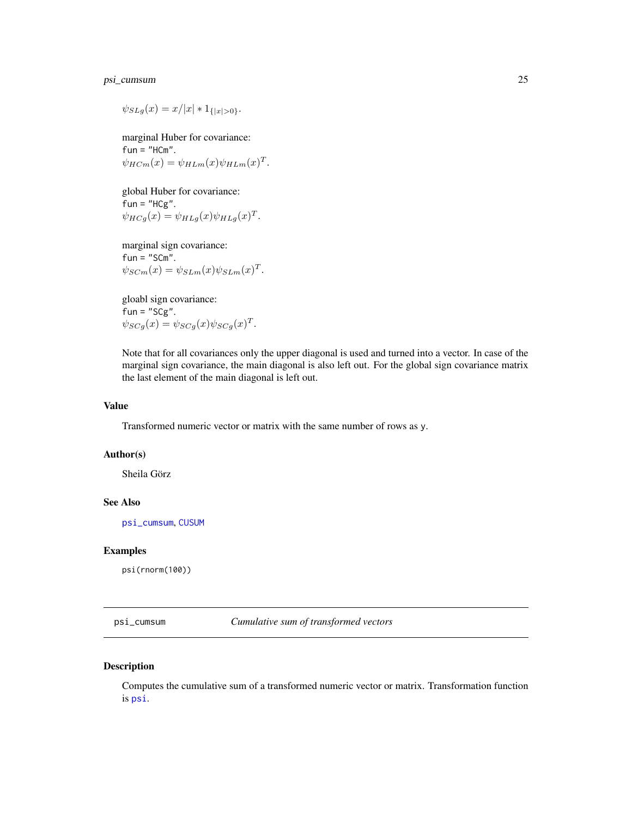#### <span id="page-24-0"></span>psi\_cumsum 25

 $\psi_{SLq}(x) = x/|x| * 1_{\{|x| > 0\}}.$ 

marginal Huber for covariance:  $fun = "HCm".$  $\psi_{H C m}(x) = \psi_{H L m}(x) \psi_{H L m}(x)^{T}.$ 

global Huber for covariance:  $fun = "HCg".$  $\psi_{HCg}(x) = \psi_{HLg}(x)\psi_{HLg}(x)^T.$ 

marginal sign covariance:  $fun = "SCm".$  $\psi_{S C m}(x) = \psi_{S L m}(x) \psi_{S L m}(x)^{T}.$ 

gloabl sign covariance:  $fun = "SCg".$  $\psi_{SCg}(x) = \psi_{SCg}(x) \psi_{SCg}(x)^T.$ 

Note that for all covariances only the upper diagonal is used and turned into a vector. In case of the marginal sign covariance, the main diagonal is also left out. For the global sign covariance matrix the last element of the main diagonal is left out.

#### Value

Transformed numeric vector or matrix with the same number of rows as y.

#### Author(s)

Sheila Görz

#### See Also

[psi\\_cumsum](#page-24-1), [CUSUM](#page-5-1)

#### Examples

psi(rnorm(100))

<span id="page-24-1"></span>psi\_cumsum *Cumulative sum of transformed vectors*

#### Description

Computes the cumulative sum of a transformed numeric vector or matrix. Transformation function is [psi](#page-23-1).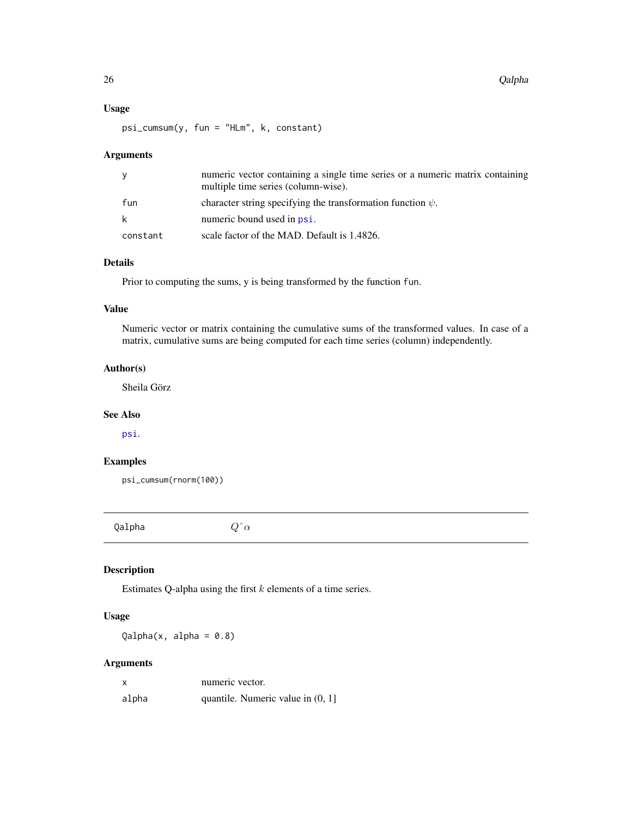#### <span id="page-25-0"></span>Usage

psi\_cumsum(y, fun = "HLm", k, constant)

#### Arguments

| y        | numeric vector containing a single time series or a numeric matrix containing<br>multiple time series (column-wise). |
|----------|----------------------------------------------------------------------------------------------------------------------|
| fun      | character string specifying the transformation function $\psi$ .                                                     |
| k        | numeric bound used in psi.                                                                                           |
| constant | scale factor of the MAD. Default is 1.4826.                                                                          |

#### Details

Prior to computing the sums, y is being transformed by the function fun.

#### Value

Numeric vector or matrix containing the cumulative sums of the transformed values. In case of a matrix, cumulative sums are being computed for each time series (column) independently.

#### Author(s)

Sheila Görz

#### See Also

[psi](#page-23-1).

#### Examples

psi\_cumsum(rnorm(100))

<span id="page-25-1"></span>Qalpha  $Q^{\hat{}}\alpha$ 

#### Description

Estimates Q-alpha using the first  $k$  elements of a time series.

#### Usage

 $Qalpha(x, alpha = 0.8)$ 

#### Arguments

| X     | numeric vector.                     |
|-------|-------------------------------------|
| alpha | quantile. Numeric value in $(0, 1]$ |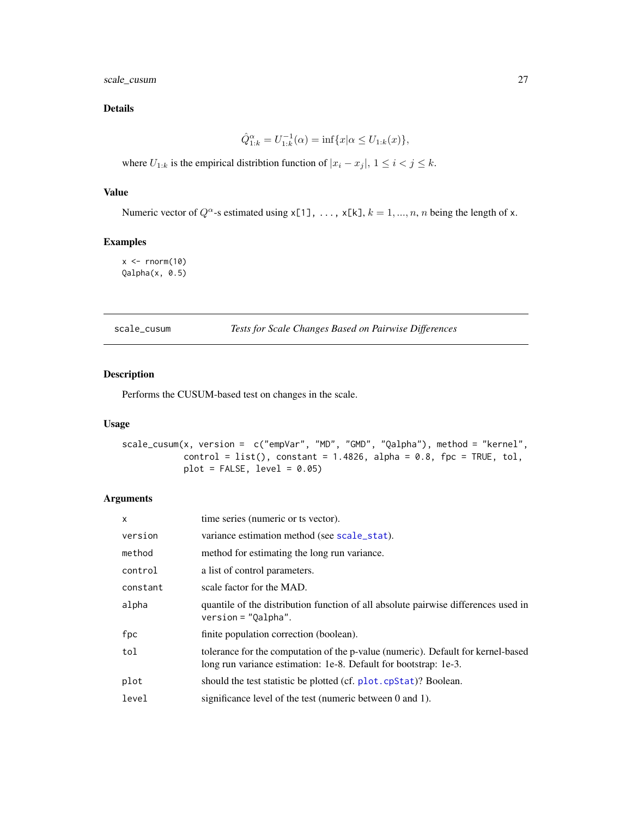<span id="page-26-0"></span>scale\_cusum 27

#### Details

$$
\hat{Q}_{1:k}^{\alpha} = U_{1:k}^{-1}(\alpha) = \inf \{ x | \alpha \le U_{1:k}(x) \},\
$$

where  $U_{1:k}$  is the empirical distribtion function of  $|x_i - x_j|$ ,  $1 \le i < j \le k$ .

#### Value

Numeric vector of  $Q^{\alpha}$ -s estimated using x[1], ..., x[k],  $k = 1, ..., n$ , n being the length of x.

#### Examples

 $x \leq -rnorm(10)$ Qalpha(x, 0.5)

scale\_cusum *Tests for Scale Changes Based on Pairwise Differences*

## Description

Performs the CUSUM-based test on changes in the scale.

#### Usage

```
scale_cusum(x, version = c("empVar", "MD", "GMD", "Qalpha"), method = "kernel",
           control = list(), constant = 1.4826, alpha = 0.8, fpc = TRUE, tol,plot = FALSE, level = 0.05)
```
#### Arguments

| $\mathsf{x}$ | time series (numeric or ts vector).                                                                                                                  |
|--------------|------------------------------------------------------------------------------------------------------------------------------------------------------|
| version      | variance estimation method (see scale_stat).                                                                                                         |
| method       | method for estimating the long run variance.                                                                                                         |
| control      | a list of control parameters.                                                                                                                        |
| constant     | scale factor for the MAD.                                                                                                                            |
| alpha        | quantile of the distribution function of all absolute pairwise differences used in<br>$version = "Qalpha".$                                          |
| fpc          | finite population correction (boolean).                                                                                                              |
| tol          | tolerance for the computation of the p-value (numeric). Default for kernel-based<br>long run variance estimation: 1e-8. Default for bootstrap: 1e-3. |
| plot         | should the test statistic be plotted (cf. plot. cpStat)? Boolean.                                                                                    |
| level        | significance level of the test (numeric between 0 and 1).                                                                                            |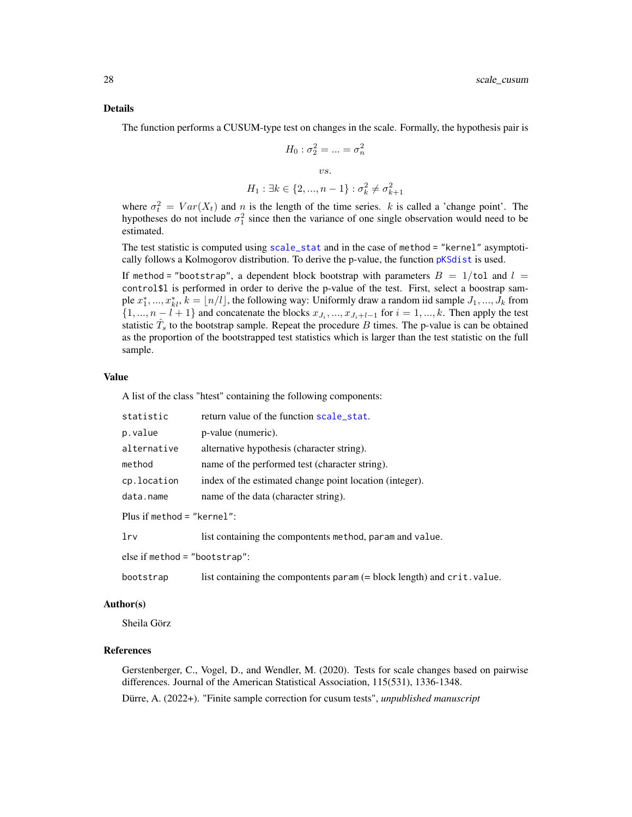#### <span id="page-27-0"></span>Details

The function performs a CUSUM-type test on changes in the scale. Formally, the hypothesis pair is

$$
H_0: \sigma_2^2 = \dots = \sigma_n^2
$$
  
*vs.*  

$$
H_1: \exists k \in \{2, ..., n-1\}: \sigma_k^2 \neq \sigma_{k+1}^2
$$

where  $\sigma_t^2 = Var(X_t)$  and n is the length of the time series. k is called a 'change point'. The hypotheses do not include  $\sigma_1^2$  since then the variance of one single observation would need to be estimated.

The test statistic is computed using [scale\\_stat](#page-28-1) and in the case of method = "kernel" asymptotically follows a Kolmogorov distribution. To derive the p-value, the function [pKSdist](#page-20-1) is used.

If method = "bootstrap", a dependent block bootstrap with parameters  $B = 1/t$ ol and  $l =$ control\$l is performed in order to derive the p-value of the test. First, select a boostrap sample  $x_1^*,..., x_{kl}^*, k = \lfloor n/l \rfloor$ , the following way: Uniformly draw a random iid sample  $J_1, ..., J_k$  from  $\{1, ..., n-l+1\}$  and concatenate the blocks  $x_{J_i}, ..., x_{J_i+l-1}$  for  $i = 1, ..., k$ . Then apply the test statistic  $\hat{T}_s$  to the bootstrap sample. Repeat the procedure B times. The p-value is can be obtained as the proportion of the bootstrapped test statistics which is larger than the test statistic on the full sample.

#### Value

A list of the class "htest" containing the following components:

| statistic                  | return value of the function scale_stat.                 |
|----------------------------|----------------------------------------------------------|
| p.value                    | p-value (numeric).                                       |
| alternative                | alternative hypothesis (character string).               |
| method                     | name of the performed test (character string).           |
| cp.location                | index of the estimated change point location (integer).  |
| data.name                  | name of the data (character string).                     |
| Plus if method = "kernel": |                                                          |
| lrv                        | list containing the compontents method, param and value. |

else if method = "bootstrap":

bootstrap list containing the compontents param (= block length) and crit.value.

#### Author(s)

Sheila Görz

#### References

Gerstenberger, C., Vogel, D., and Wendler, M. (2020). Tests for scale changes based on pairwise differences. Journal of the American Statistical Association, 115(531), 1336-1348. Dürre, A. (2022+). "Finite sample correction for cusum tests", *unpublished manuscript*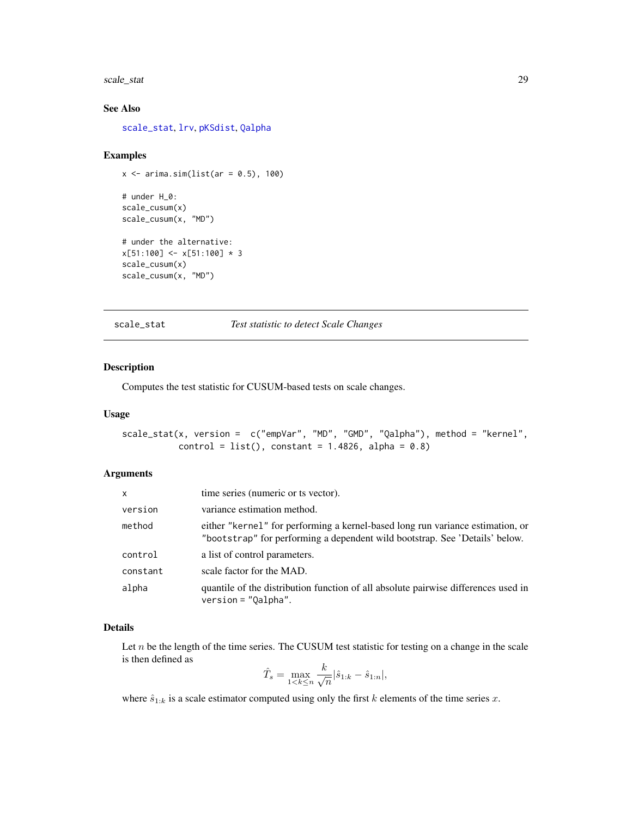#### <span id="page-28-0"></span>scale\_stat 29

#### See Also

[scale\\_stat](#page-28-1), [lrv](#page-13-1), [pKSdist](#page-20-1), [Qalpha](#page-25-1)

#### Examples

```
x \leftarrow \text{arima.sim}(list(ar = 0.5), 100)# under H_0:
scale_cusum(x)
scale_cusum(x, "MD")
# under the alternative:
x[51:100] < x[51:100] * 3scale_cusum(x)
scale_cusum(x, "MD")
```
<span id="page-28-1"></span>scale\_stat *Test statistic to detect Scale Changes*

#### Description

Computes the test statistic for CUSUM-based tests on scale changes.

#### Usage

```
scale_stat(x, version = c("empVar", "MD", "GMD", "Qalpha"), method = "kernel",
          control = list(), constant = 1.4826, alpha = 0.8)
```
#### Arguments

| x        | time series (numeric or ts vector).                                                                                                                           |
|----------|---------------------------------------------------------------------------------------------------------------------------------------------------------------|
| version  | variance estimation method.                                                                                                                                   |
| method   | either "kernel" for performing a kernel-based long run variance estimation, or<br>"bootstrap" for performing a dependent wild bootstrap. See 'Details' below. |
| control  | a list of control parameters.                                                                                                                                 |
| constant | scale factor for the MAD.                                                                                                                                     |
| alpha    | quantile of the distribution function of all absolute pairwise differences used in<br>$version = "Qalpha".$                                                   |

#### Details

Let  $n$  be the length of the time series. The CUSUM test statistic for testing on a change in the scale is then defined as k

$$
\hat{T}_s = \max_{1 < k \le n} \frac{k}{\sqrt{n}} |\hat{s}_{1:k} - \hat{s}_{1:n}|,
$$

where  $\hat{s}_{1:k}$  is a scale estimator computed using only the first k elements of the time series x.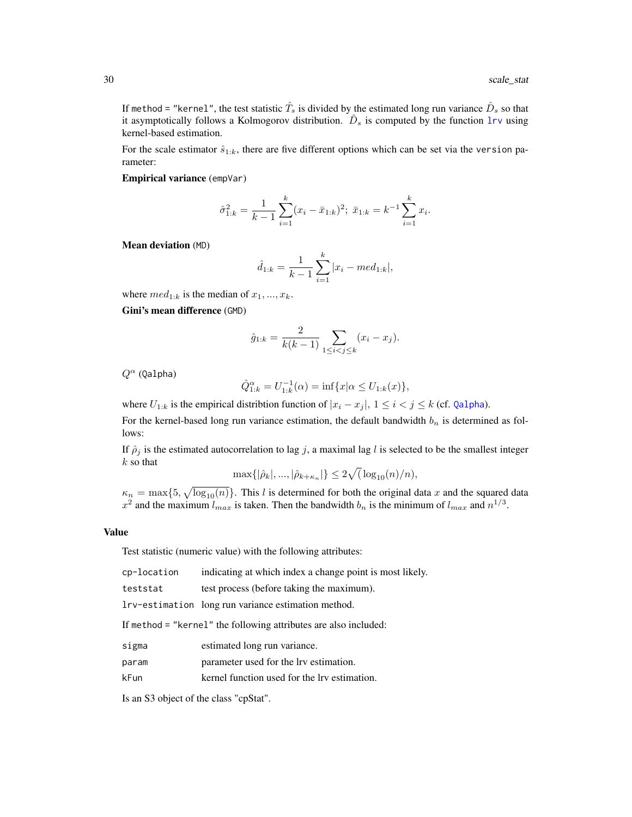If method = "kernel", the test statistic  $\hat{T}_{s}$  is divided by the estimated long run variance  $\hat{D}_{s}$  so that it asymptotically follows a Kolmogorov distribution.  $\hat{D}_s$  is computed by the function [lrv](#page-13-1) using kernel-based estimation.

For the scale estimator  $\hat{s}_{1:k}$ , there are five different options which can be set via the version parameter:

Empirical variance (empVar)

$$
\hat{\sigma}_{1:k}^2 = \frac{1}{k-1} \sum_{i=1}^k (x_i - \bar{x}_{1:k})^2; \ \bar{x}_{1:k} = k^{-1} \sum_{i=1}^k x_i.
$$

Mean deviation (MD)

$$
\hat{d}_{1:k} = \frac{1}{k-1} \sum_{i=1}^{k} |x_i - med_{1:k}|,
$$

where  $med_{1:k}$  is the median of  $x_1, ..., x_k$ .

Gini's mean difference (GMD)

$$
\hat{g}_{1:k} = \frac{2}{k(k-1)} \sum_{1 \le i < j \le k} (x_i - x_j).
$$

 $Q^{\alpha}$  (Qalpha)

$$
\hat{Q}_{1:k}^{\alpha} = U_{1:k}^{-1}(\alpha) = \inf \{ x | \alpha \le U_{1:k}(x) \},
$$

where  $U_{1:k}$  is the empirical distribtion function of  $|x_i - x_j|$ ,  $1 \le i < j \le k$  (cf. [Qalpha](#page-25-1)).

For the kernel-based long run variance estimation, the default bandwidth  $b_n$  is determined as follows:

If  $\hat{\rho}_j$  is the estimated autocorrelation to lag j, a maximal lag l is selected to be the smallest integer  $k$  so that

$$
\max\{|\hat{\rho}_k|, ..., |\hat{\rho}_{k+\kappa_n}|\} \le 2\sqrt{(\log_{10}(n)/n)},
$$

 $\kappa_n = \max\{5, \sqrt{\log_{10}(n)}\}.$  This l is determined for both the original data x and the squared data  $x^2$  and the maximum  $l_{max}$  is taken. Then the bandwidth  $b_n$  is the minimum of  $l_{max}$  and  $n^{1/3}$ .

#### Value

Test statistic (numeric value) with the following attributes:

teststat test process (before taking the maximum).

lrv-estimation long run variance estimation method.

If method = "kernel" the following attributes are also included:

- sigma estimated long run variance.
- param parameter used for the lrv estimation.
- kFun kernel function used for the lrv estimation.

Is an S3 object of the class "cpStat".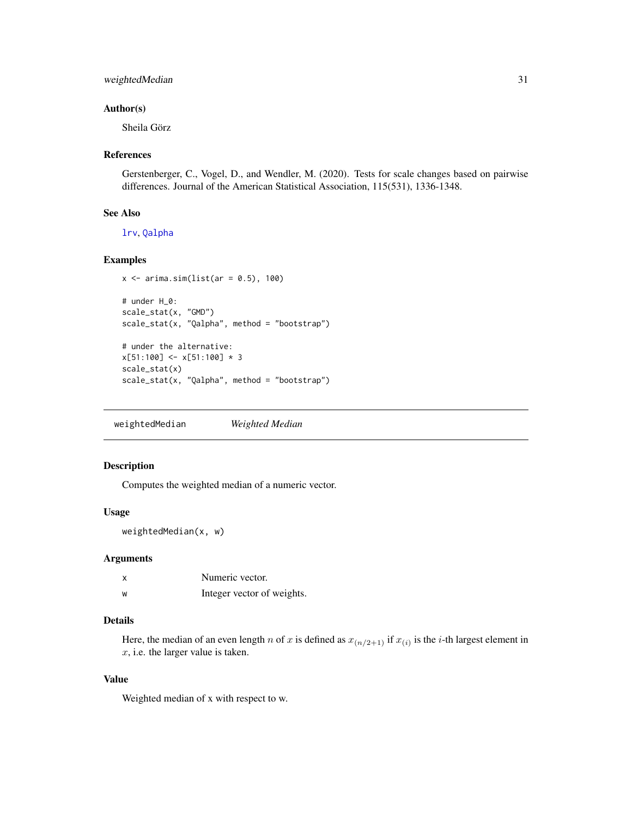#### <span id="page-30-0"></span>weightedMedian 31

#### Author(s)

Sheila Görz

#### References

Gerstenberger, C., Vogel, D., and Wendler, M. (2020). Tests for scale changes based on pairwise differences. Journal of the American Statistical Association, 115(531), 1336-1348.

#### See Also

[lrv](#page-13-1), [Qalpha](#page-25-1)

#### Examples

```
x \leftarrow \text{arima.sim}(list(ar = 0.5), 100)# under H_0:
scale_stat(x, "GMD")
scale_stat(x, "Qalpha", method = "bootstrap")
# under the alternative:
x[51:100] < x[51:100] * 3
```

```
scale_stat(x)
scale_stat(x, "Qalpha", method = "bootstrap")
```
weightedMedian *Weighted Median*

#### Description

Computes the weighted median of a numeric vector.

#### Usage

weightedMedian(x, w)

#### Arguments

|   | Numeric vector.            |
|---|----------------------------|
| w | Integer vector of weights. |

#### Details

Here, the median of an even length n of x is defined as  $x_{(n/2+1)}$  if  $x_{(i)}$  is the *i*-th largest element in x, i.e. the larger value is taken.

#### Value

Weighted median of x with respect to w.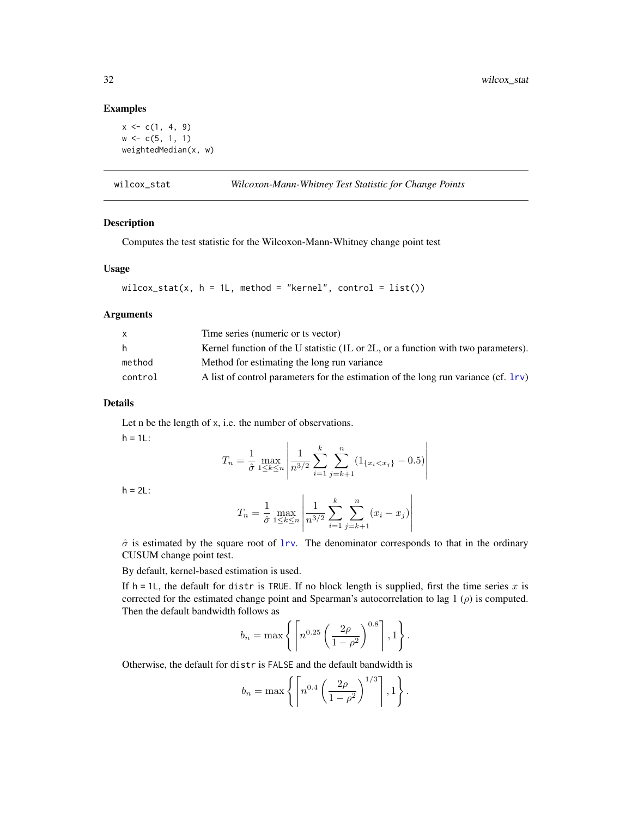#### Examples

```
x \leftarrow c(1, 4, 9)w \leftarrow c(5, 1, 1)weightedMedian(x, w)
```
<span id="page-31-1"></span>wilcox\_stat *Wilcoxon-Mann-Whitney Test Statistic for Change Points*

#### Description

Computes the test statistic for the Wilcoxon-Mann-Whitney change point test

#### Usage

```
wilcox_stat(x, h = 1L, method = "kernel", control = list())
```
#### Arguments

| $\mathsf{x}$ | Time series (numeric or ts vector)                                                 |
|--------------|------------------------------------------------------------------------------------|
| h.           | Kernel function of the U statistic (1L or 2L, or a function with two parameters).  |
| method       | Method for estimating the long run variance                                        |
| control      | A list of control parameters for the estimation of the long run variance (cf. 1rv) |

#### Details

Let n be the length of x, i.e. the number of observations.

 $h = 1L$ :

$$
T_n = \frac{1}{\hat{\sigma}} \max_{1 \le k \le n} \left| \frac{1}{n^{3/2}} \sum_{i=1}^k \sum_{j=k+1}^n (1_{\{x_i < x_j\}} - 0.5) \right|
$$

 $h = 2L$ :

$$
T_n = \frac{1}{\hat{\sigma}} \max_{1 \le k \le n} \left| \frac{1}{n^{3/2}} \sum_{i=1}^k \sum_{j=k+1}^n (x_i - x_j) \right|
$$

 $\hat{\sigma}$  is estimated by the square root of [lrv](#page-13-1). The denominator corresponds to that in the ordinary CUSUM change point test.

By default, kernel-based estimation is used.

If  $h = 1L$ , the default for distr is TRUE. If no block length is supplied, first the time series x is corrected for the estimated change point and Spearman's autocorrelation to lag 1  $(\rho)$  is computed. Then the default bandwidth follows as

$$
b_n = \max\left\{ \left\lceil n^{0.25} \left( \frac{2\rho}{1-\rho^2} \right)^{0.8} \right\rceil, 1 \right\}.
$$

Otherwise, the default for distr is FALSE and the default bandwidth is

$$
b_n = \max\left\{ \left\lceil n^{0.4} \left( \frac{2\rho}{1-\rho^2} \right)^{1/3} \right\rceil, 1 \right\}.
$$

<span id="page-31-0"></span>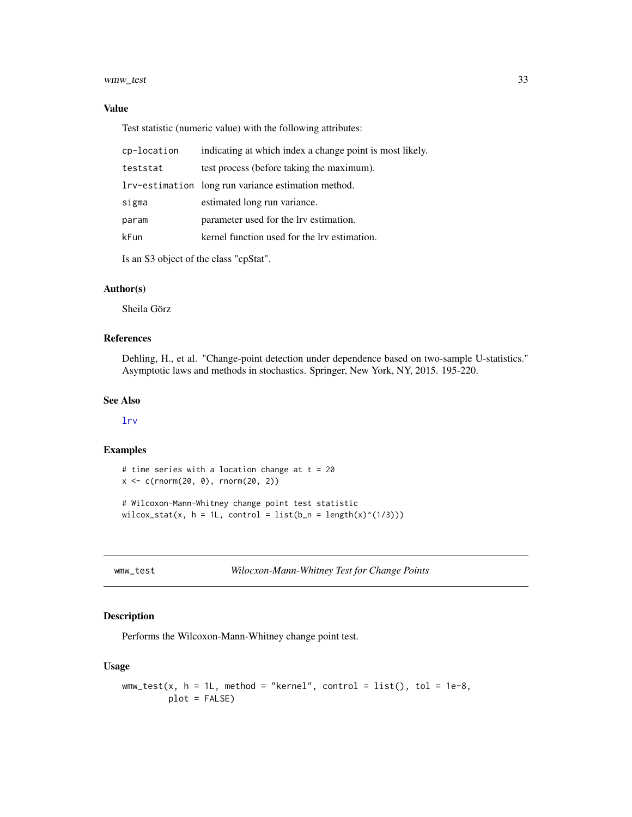#### <span id="page-32-0"></span>wmw\_test 33

#### Value

Test statistic (numeric value) with the following attributes:

| cp-location | indicating at which index a change point is most likely. |
|-------------|----------------------------------------------------------|
| teststat    | test process (before taking the maximum).                |
|             | Irv-estimation long run variance estimation method.      |
| sigma       | estimated long run variance.                             |
| param       | parameter used for the lrv estimation.                   |
| kFun        | kernel function used for the lry estimation.             |
|             |                                                          |

Is an S3 object of the class "cpStat".

#### Author(s)

Sheila Görz

#### References

Dehling, H., et al. "Change-point detection under dependence based on two-sample U-statistics." Asymptotic laws and methods in stochastics. Springer, New York, NY, 2015. 195-220.

#### See Also

[lrv](#page-13-1)

#### Examples

```
# time series with a location change at t = 20
x <- c(rnorm(20, 0), rnorm(20, 2))
# Wilcoxon-Mann-Whitney change point test statistic
wilcox_stat(x, h = 1L, control = list(b_n = length(x)^(1/3)))
```
wmw\_test *Wilocxon-Mann-Whitney Test for Change Points*

#### Description

Performs the Wilcoxon-Mann-Whitney change point test.

#### Usage

```
wmw\_test(x, h = 1L, method = "kernel", control = list(), tol = 1e-8,plot = FALSE)
```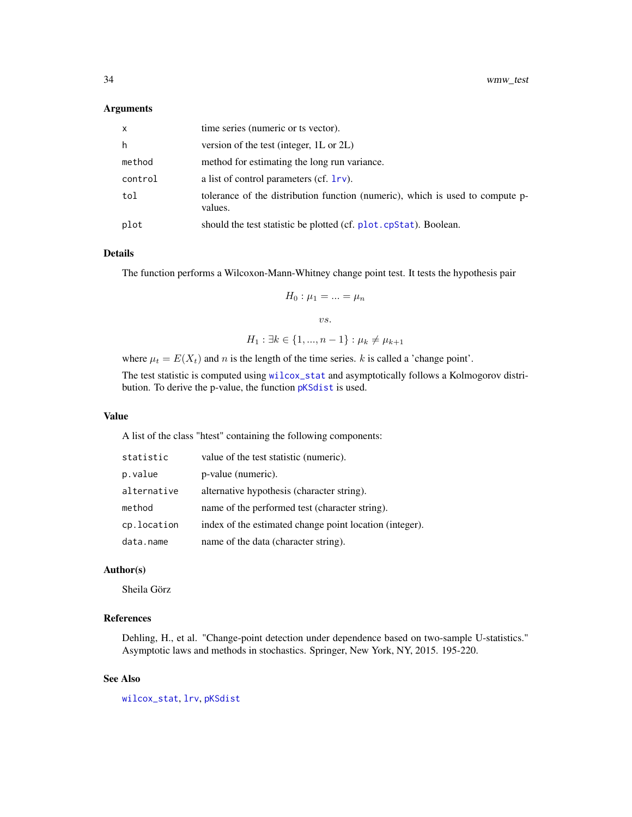#### <span id="page-33-0"></span>Arguments

| $\mathsf{x}$ | time series (numeric or ts vector).                                                      |
|--------------|------------------------------------------------------------------------------------------|
| h            | version of the test (integer, 1L or 2L)                                                  |
| method       | method for estimating the long run variance.                                             |
| control      | a list of control parameters (cf. 1rv).                                                  |
| tol          | tolerance of the distribution function (numeric), which is used to compute p-<br>values. |
| plot         | should the test statistic be plotted (cf. plot. cpStat). Boolean.                        |

#### Details

The function performs a Wilcoxon-Mann-Whitney change point test. It tests the hypothesis pair

$$
H_0: \mu_1 = \ldots = \mu_n
$$

vs.

$$
H_1: \exists k \in \{1, ..., n-1\} : \mu_k \neq \mu_{k+1}
$$

where  $\mu_t = E(X_t)$  and n is the length of the time series. k is called a 'change point'.

The test statistic is computed using [wilcox\\_stat](#page-31-1) and asymptotically follows a Kolmogorov distribution. To derive the p-value, the function [pKSdist](#page-20-1) is used.

#### Value

A list of the class "htest" containing the following components:

| statistic   | value of the test statistic (numeric).                  |
|-------------|---------------------------------------------------------|
| p.value     | p-value (numeric).                                      |
| alternative | alternative hypothesis (character string).              |
| method      | name of the performed test (character string).          |
| cp.location | index of the estimated change point location (integer). |
| data.name   | name of the data (character string).                    |

#### Author(s)

Sheila Görz

#### References

Dehling, H., et al. "Change-point detection under dependence based on two-sample U-statistics." Asymptotic laws and methods in stochastics. Springer, New York, NY, 2015. 195-220.

#### See Also

[wilcox\\_stat](#page-31-1), [lrv](#page-13-1), [pKSdist](#page-20-1)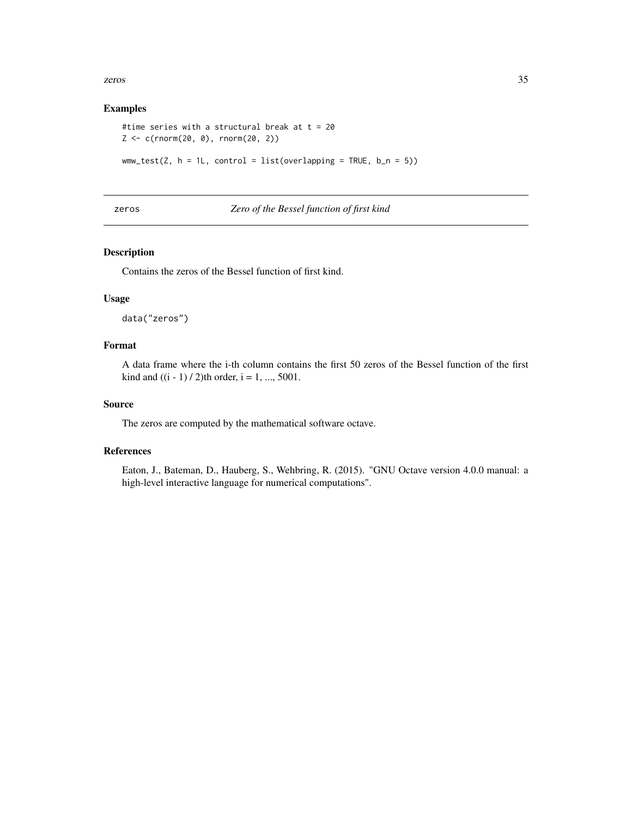<span id="page-34-0"></span>zeros 35

#### Examples

```
#time series with a structural break at t = 20Z \leq c(\text{rnorm}(20, 0), \text{rnorm}(20, 2))wmw_test(Z, h = 1L, control = list(overlapping = TRUE, b_n = 5))
```
#### zeros *Zero of the Bessel function of first kind*

#### Description

Contains the zeros of the Bessel function of first kind.

#### Usage

data("zeros")

#### Format

A data frame where the i-th column contains the first 50 zeros of the Bessel function of the first kind and  $((i - 1) / 2)$ th order,  $i = 1, ..., 5001$ .

#### Source

The zeros are computed by the mathematical software octave.

#### References

Eaton, J., Bateman, D., Hauberg, S., Wehbring, R. (2015). "GNU Octave version 4.0.0 manual: a high-level interactive language for numerical computations".